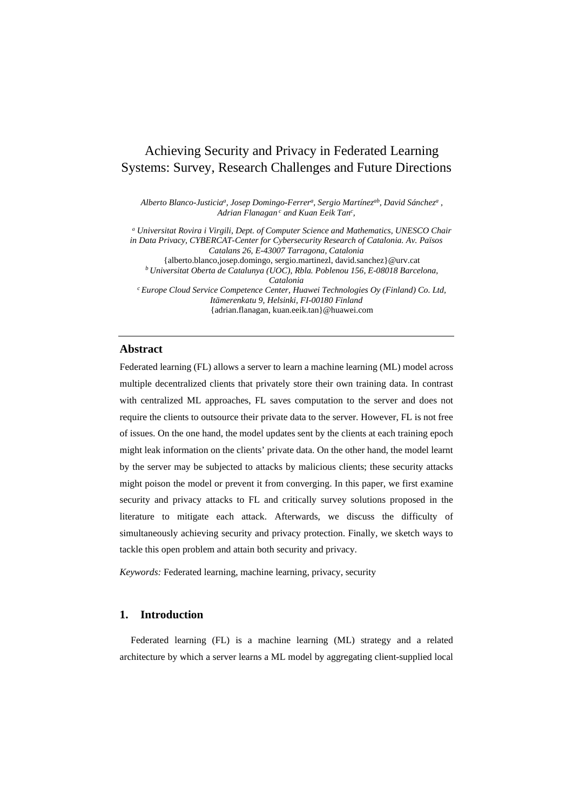# Achieving Security and Privacy in Federated Learning Systems: Survey, Research Challenges and Future Directions

*Alberto Blanco-Justiciaa, Josep Domingo-Ferrera, Sergio Martínezab, David Sáncheza , Adrian Flanagan <sup>c</sup> and Kuan Eeik Tanc ,*

*<sup>a</sup> Universitat Rovira i Virgili, Dept. of Computer Science and Mathematics, UNESCO Chair in Data Privacy, CYBERCAT-Center for Cybersecurity Research of Catalonia. Av. Països Catalans 26, E-43007 Tarragona, Catalonia* {alberto.blanco,josep.domingo, sergio.martinezl, david.sanchez}@urv.cat *b Universitat Oberta de Catalunya (UOC), Rbla. Poblenou 156, E-08018 Barcelona, Catalonia c Europe Cloud Service Competence Center, Huawei Technologies Oy (Finland) Co. Ltd, Itämerenkatu 9, Helsinki, FI-00180 Finland* {adrian.flanagan, kuan.eeik.tan}@huawei.com

#### **Abstract**

Federated learning (FL) allows a server to learn a machine learning (ML) model across multiple decentralized clients that privately store their own training data. In contrast with centralized ML approaches, FL saves computation to the server and does not require the clients to outsource their private data to the server. However, FL is not free of issues. On the one hand, the model updates sent by the clients at each training epoch might leak information on the clients' private data. On the other hand, the model learnt by the server may be subjected to attacks by malicious clients; these security attacks might poison the model or prevent it from converging. In this paper, we first examine security and privacy attacks to FL and critically survey solutions proposed in the literature to mitigate each attack. Afterwards, we discuss the difficulty of simultaneously achieving security and privacy protection. Finally, we sketch ways to tackle this open problem and attain both security and privacy.

*Keywords:* Federated learning, machine learning, privacy, security

# **1. Introduction**

Federated learning (FL) is a machine learning (ML) strategy and a related architecture by which a server learns a ML model by aggregating client-supplied local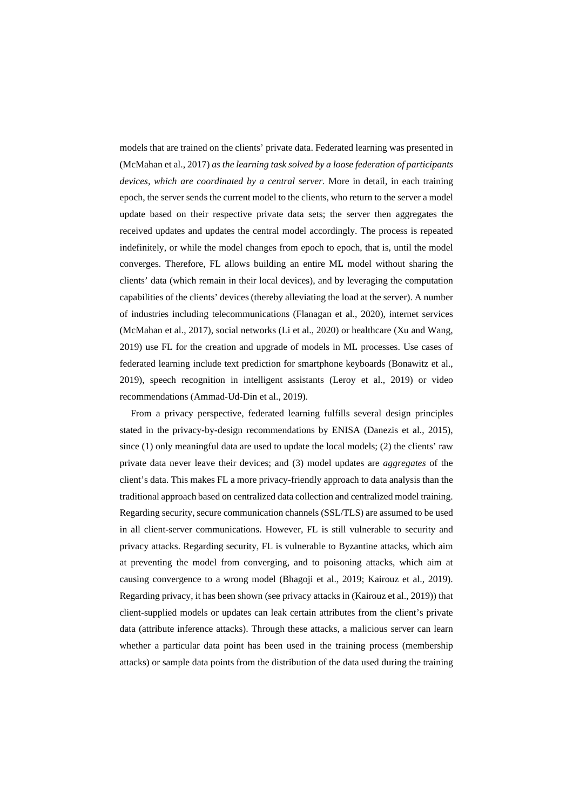models that are trained on the clients' private data. Federated learning was presented in (McMahan et al., 2017) *as the learning task solved by a loose federation of participants devices, which are coordinated by a central server*. More in detail, in each training epoch, the server sends the current model to the clients, who return to the server a model update based on their respective private data sets; the server then aggregates the received updates and updates the central model accordingly. The process is repeated indefinitely, or while the model changes from epoch to epoch, that is, until the model converges. Therefore, FL allows building an entire ML model without sharing the clients' data (which remain in their local devices), and by leveraging the computation capabilities of the clients' devices (thereby alleviating the load at the server). A number of industries including telecommunications (Flanagan et al., 2020), internet services (McMahan et al., 2017), social networks (Li et al., 2020) or healthcare (Xu and Wang, 2019) use FL for the creation and upgrade of models in ML processes. Use cases of federated learning include text prediction for smartphone keyboards (Bonawitz et al., 2019), speech recognition in intelligent assistants (Leroy et al., 2019) or video recommendations (Ammad-Ud-Din et al., 2019).

From a privacy perspective, federated learning fulfills several design principles stated in the privacy-by-design recommendations by ENISA (Danezis et al., 2015), since (1) only meaningful data are used to update the local models; (2) the clients' raw private data never leave their devices; and (3) model updates are *aggregates* of the client's data. This makes FL a more privacy-friendly approach to data analysis than the traditional approach based on centralized data collection and centralized model training. Regarding security, secure communication channels (SSL/TLS) are assumed to be used in all client-server communications. However, FL is still vulnerable to security and privacy attacks. Regarding security, FL is vulnerable to Byzantine attacks, which aim at preventing the model from converging, and to poisoning attacks, which aim at causing convergence to a wrong model (Bhagoji et al., 2019; Kairouz et al., 2019). Regarding privacy, it has been shown (see privacy attacks in (Kairouz et al., 2019)) that client-supplied models or updates can leak certain attributes from the client's private data (attribute inference attacks). Through these attacks, a malicious server can learn whether a particular data point has been used in the training process (membership attacks) or sample data points from the distribution of the data used during the training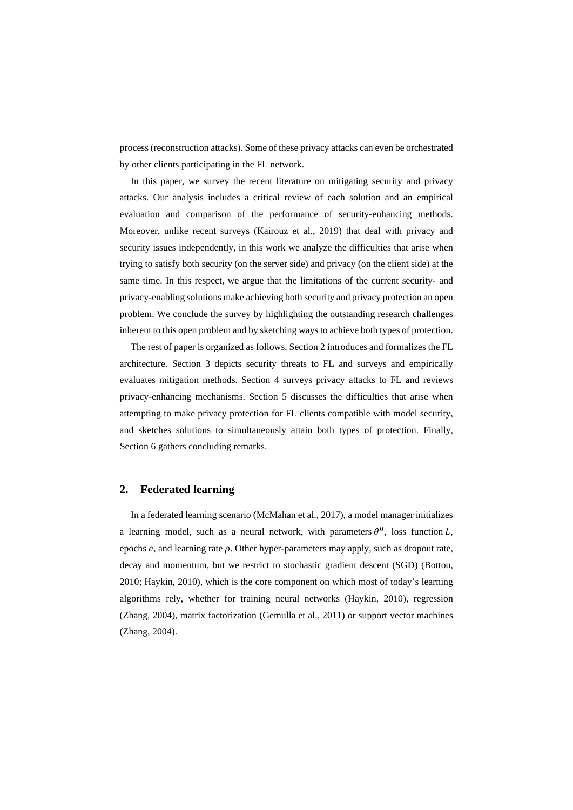process (reconstruction attacks). Some of these privacy attacks can even be orchestrated by other clients participating in the FL network.

In this paper, we survey the recent literature on mitigating security and privacy attacks. Our analysis includes a critical review of each solution and an empirical evaluation and comparison of the performance of security-enhancing methods. Moreover, unlike recent surveys (Kairouz et al., 2019) that deal with privacy and security issues independently, in this work we analyze the difficulties that arise when trying to satisfy both security (on the server side) and privacy (on the client side) at the same time. In this respect, we argue that the limitations of the current security- and privacy-enabling solutions make achieving both security and privacy protection an open problem. We conclude the survey by highlighting the outstanding research challenges inherent to this open problem and by sketching ways to achieve both types of protection.

The rest of paper is organized as follows. Section 2 introduces and formalizes the FL architecture. Section 3 depicts security threats to FL and surveys and empirically evaluates mitigation methods. Section 4 surveys privacy attacks to FL and reviews privacy-enhancing mechanisms. Section 5 discusses the difficulties that arise when attempting to make privacy protection for FL clients compatible with model security, and sketches solutions to simultaneously attain both types of protection. Finally, Section 6 gathers concluding remarks.

# <span id="page-2-0"></span>**2. Federated learning**

In a federated learning scenario (McMahan et al., 2017), a model manager initializes a learning model, such as a neural network, with parameters  $\theta^0$ , loss function L, epochs  $e$ , and learning rate  $\rho$ . Other hyper-parameters may apply, such as dropout rate, decay and momentum, but we restrict to stochastic gradient descent (SGD) (Bottou, 2010; Haykin, 2010), which is the core component on which most of today's learning algorithms rely, whether for training neural networks (Haykin, 2010), regression (Zhang, 2004), matrix factorization (Gemulla et al., 2011) or support vector machines (Zhang, 2004).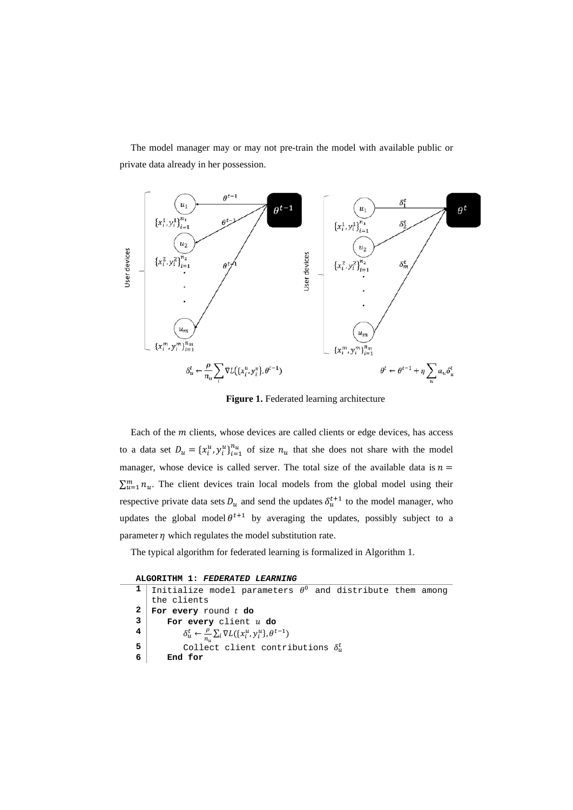The model manager may or may not pre-train the model with available public or private data already in her possession.



Figure 1. Federated learning architecture

Each of the  $m$  clients, whose devices are called clients or edge devices, has access to a data set  $D_u = \{x_i^u, y_i^u\}_{i=1}^{n_u}$  of size  $n_u$  that she does not share with the model manager, whose device is called server. The total size of the available data is  $n =$  $\sum_{u=1}^{m} n_u$ . The client devices train local models from the global model using their respective private data sets  $D_u$  and send the updates  $\delta_u^{t+1}$  to the model manager, who updates the global model  $\theta^{t+1}$  by averaging the updates, possibly subject to a parameter  $\eta$  which regulates the model substitution rate.

The typical algorithm for federated learning is formalized in Algorithm 1.

|  | ALGORITHM 1: FEDERATED LEARNING |  |
|--|---------------------------------|--|
|  |                                 |  |

|              | 1 Initialize model parameters $\theta^0$ and distribute them among                       |
|--------------|------------------------------------------------------------------------------------------|
|              | the clients                                                                              |
| $\mathbf{2}$ | For every round $t$ do                                                                   |
| 3            | For every client u do                                                                    |
| 4            | $\delta_u^t \leftarrow \frac{\rho}{n_u} \sum_i \nabla L(\{x_i^u, y_i^u\}, \theta^{t-1})$ |
| 5            | Collect client contributions $\delta_u^t$                                                |
| 6            | End for                                                                                  |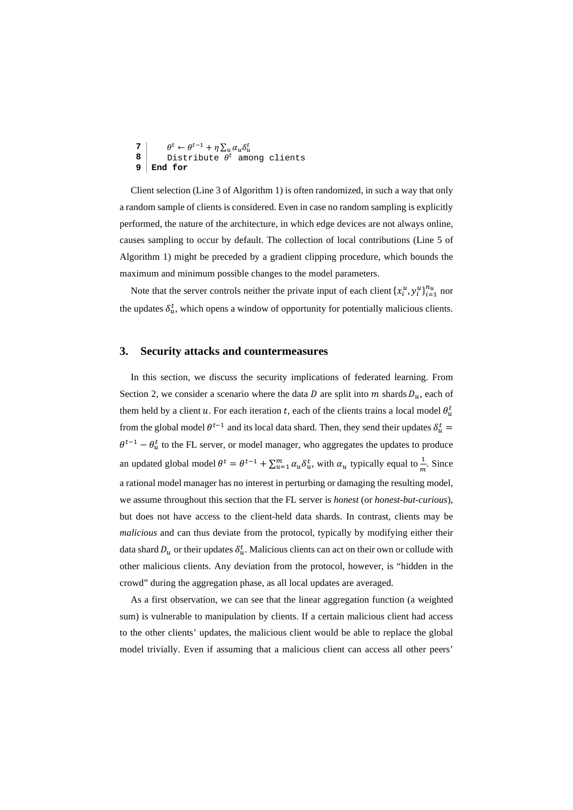```
\theta^t \leftarrow \theta^{t-1} + \eta \sum_u \alpha_u \delta_u^t8 Distribute \theta^t among clients
9 End for
```
Client selection (Line 3 of Algorithm 1) is often randomized, in such a way that only a random sample of clients is considered. Even in case no random sampling is explicitly performed, the nature of the architecture, in which edge devices are not always online, causes sampling to occur by default. The collection of local contributions (Line 5 of Algorithm 1) might be preceded by a gradient clipping procedure, which bounds the maximum and minimum possible changes to the model parameters.

Note that the server controls neither the private input of each client  $\{x_i^u, y_i^u\}_{i=1}^{n_u}$  nor the updates  $\delta_u^t$ , which opens a window of opportunity for potentially malicious clients.

# **3. Security attacks and countermeasures**

In this section, we discuss the security implications of federated learning. From Section [2,](#page-2-0) we consider a scenario where the data  $D$  are split into  $m$  shards  $D_u$ , each of them held by a client u. For each iteration t, each of the clients trains a local model  $\theta_u^t$ from the global model  $\theta^{t-1}$  and its local data shard. Then, they send their updates  $\delta_u^t$  =  $\theta^{t-1} - \theta_u^t$  to the FL server, or model manager, who aggregates the updates to produce an updated global model  $\theta^t = \theta^{t-1} + \sum_{u=1}^m \alpha_u \delta_u^t$ , with  $\alpha_u$  typically equal to  $\frac{1}{m}$ . Since a rational model manager has no interest in perturbing or damaging the resulting model, we assume throughout this section that the FL server is *honest* (or *honest-but-curious*), but does not have access to the client-held data shards. In contrast, clients may be *malicious* and can thus deviate from the protocol, typically by modifying either their data shard  $D_u$  or their updates  $\delta_u^t$ . Malicious clients can act on their own or collude with other malicious clients. Any deviation from the protocol, however, is "hidden in the crowd" during the aggregation phase, as all local updates are averaged.

As a first observation, we can see that the linear aggregation function (a weighted sum) is vulnerable to manipulation by clients. If a certain malicious client had access to the other clients' updates, the malicious client would be able to replace the global model trivially. Even if assuming that a malicious client can access all other peers'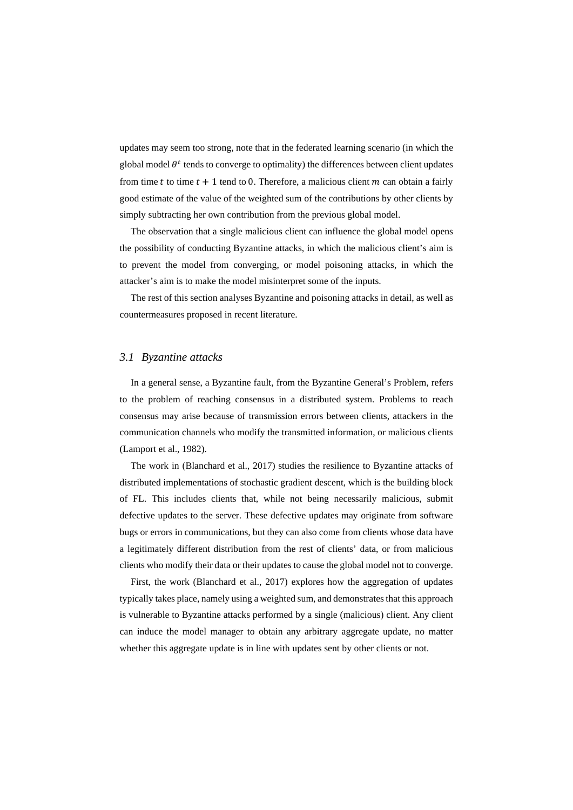updates may seem too strong, note that in the federated learning scenario (in which the global model  $\theta^t$  tends to converge to optimality) the differences between client updates from time t to time  $t + 1$  tend to 0. Therefore, a malicious client m can obtain a fairly good estimate of the value of the weighted sum of the contributions by other clients by simply subtracting her own contribution from the previous global model.

The observation that a single malicious client can influence the global model opens the possibility of conducting Byzantine attacks, in which the malicious client's aim is to prevent the model from converging, or model poisoning attacks, in which the attacker's aim is to make the model misinterpret some of the inputs.

The rest of this section analyses Byzantine and poisoning attacks in detail, as well as countermeasures proposed in recent literature.

# <span id="page-5-0"></span>*3.1 Byzantine attacks*

In a general sense, a Byzantine fault, from the Byzantine General's Problem, refers to the problem of reaching consensus in a distributed system. Problems to reach consensus may arise because of transmission errors between clients, attackers in the communication channels who modify the transmitted information, or malicious clients (Lamport et al., 1982).

The work in (Blanchard et al., 2017) studies the resilience to Byzantine attacks of distributed implementations of stochastic gradient descent, which is the building block of FL. This includes clients that, while not being necessarily malicious, submit defective updates to the server. These defective updates may originate from software bugs or errors in communications, but they can also come from clients whose data have a legitimately different distribution from the rest of clients' data, or from malicious clients who modify their data or their updates to cause the global model not to converge.

First, the work (Blanchard et al., 2017) explores how the aggregation of updates typically takes place, namely using a weighted sum, and demonstrates that this approach is vulnerable to Byzantine attacks performed by a single (malicious) client. Any client can induce the model manager to obtain any arbitrary aggregate update, no matter whether this aggregate update is in line with updates sent by other clients or not.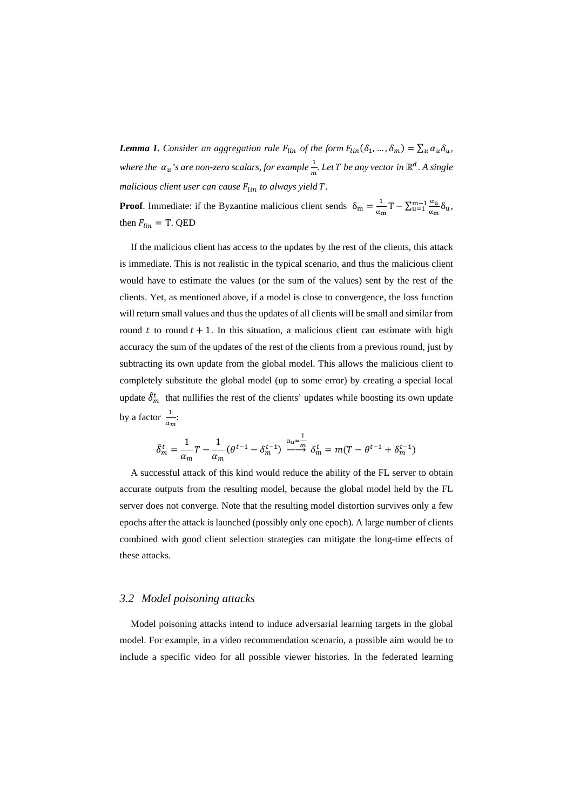*Lemma 1. Consider an aggregation rule*  $F_{lin}$  *of the form*  $F_{lin}(\delta_1, ..., \delta_m) = \sum_u \alpha_u \delta_u$ *where the*  $\alpha_u$ 's are non-zero scalars, for example  $\frac{1}{m}$ . Let T be any vector in ℝ<sup>d</sup>. A single *malicious client user can cause*  $F_{lin}$  to always yield T.

**Proof**. Immediate: if the Byzantine malicious client sends  $\delta_m = \frac{1}{\alpha_m}T - \sum_{u=1}^{m-1} \frac{\alpha_u}{\alpha_m} \delta_u$ , then  $F_{lin} = T$ . QED

If the malicious client has access to the updates by the rest of the clients, this attack is immediate. This is not realistic in the typical scenario, and thus the malicious client would have to estimate the values (or the sum of the values) sent by the rest of the clients. Yet, as mentioned above, if a model is close to convergence, the loss function will return small values and thus the updates of all clients will be small and similar from round  $t$  to round  $t + 1$ . In this situation, a malicious client can estimate with high accuracy the sum of the updates of the rest of the clients from a previous round, just by subtracting its own update from the global model. This allows the malicious client to completely substitute the global model (up to some error) by creating a special local update  $\delta_m^t$  that nullifies the rest of the clients' updates while boosting its own update by a factor  $\frac{1}{\alpha_m}$ :

$$
\hat{\delta}_m^t = \frac{1}{\alpha_m} T - \frac{1}{\alpha_m} (\theta^{t-1} - \delta_m^{t-1}) \xrightarrow{\alpha_u = \frac{1}{m}} \delta_m^t = m(T - \theta^{t-1} + \delta_m^{t-1})
$$

A successful attack of this kind would reduce the ability of the FL server to obtain accurate outputs from the resulting model, because the global model held by the FL server does not converge. Note that the resulting model distortion survives only a few epochs after the attack is launched (possibly only one epoch). A large number of clients combined with good client selection strategies can mitigate the long-time effects of these attacks.

### <span id="page-6-0"></span>*3.2 Model poisoning attacks*

Model poisoning attacks intend to induce adversarial learning targets in the global model. For example, in a video recommendation scenario, a possible aim would be to include a specific video for all possible viewer histories. In the federated learning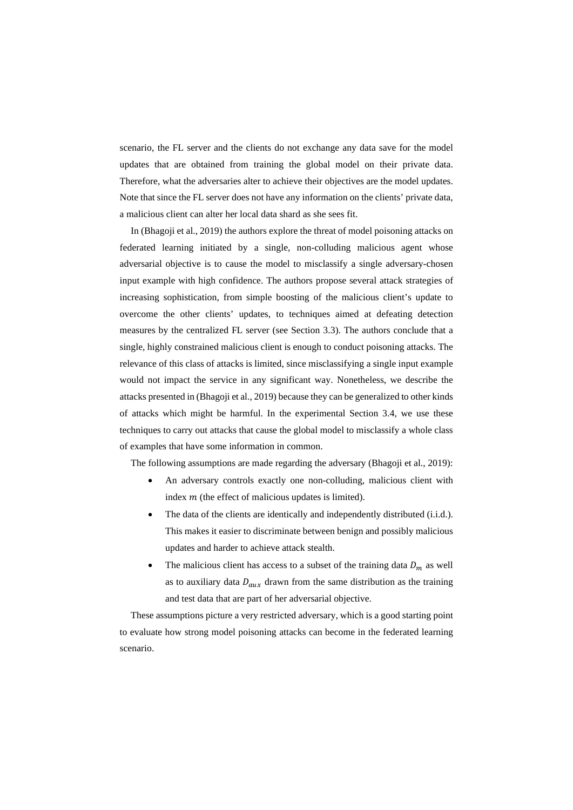scenario, the FL server and the clients do not exchange any data save for the model updates that are obtained from training the global model on their private data. Therefore, what the adversaries alter to achieve their objectives are the model updates. Note that since the FL server does not have any information on the clients' private data, a malicious client can alter her local data shard as she sees fit.

In (Bhagoji et al., 2019) the authors explore the threat of model poisoning attacks on federated learning initiated by a single, non-colluding malicious agent whose adversarial objective is to cause the model to misclassify a single adversary-chosen input example with high confidence. The authors propose several attack strategies of increasing sophistication, from simple boosting of the malicious client's update to overcome the other clients' updates, to techniques aimed at defeating detection measures by the centralized FL server (see Section [3.3\)](#page-11-0). The authors conclude that a single, highly constrained malicious client is enough to conduct poisoning attacks. The relevance of this class of attacks is limited, since misclassifying a single input example would not impact the service in any significant way. Nonetheless, we describe the attacks presented in (Bhagoji et al., 2019) because they can be generalized to other kinds of attacks which might be harmful. In the experimental Section [3.4,](#page-14-0) we use these techniques to carry out attacks that cause the global model to misclassify a whole class of examples that have some information in common.

The following assumptions are made regarding the adversary (Bhagoji et al., 2019):

- An adversary controls exactly one non-colluding, malicious client with index  $m$  (the effect of malicious updates is limited).
- The data of the clients are identically and independently distributed (i.i.d.). This makes it easier to discriminate between benign and possibly malicious updates and harder to achieve attack stealth.
- The malicious client has access to a subset of the training data  $D_m$  as well as to auxiliary data  $D_{aux}$  drawn from the same distribution as the training and test data that are part of her adversarial objective.

These assumptions picture a very restricted adversary, which is a good starting point to evaluate how strong model poisoning attacks can become in the federated learning scenario.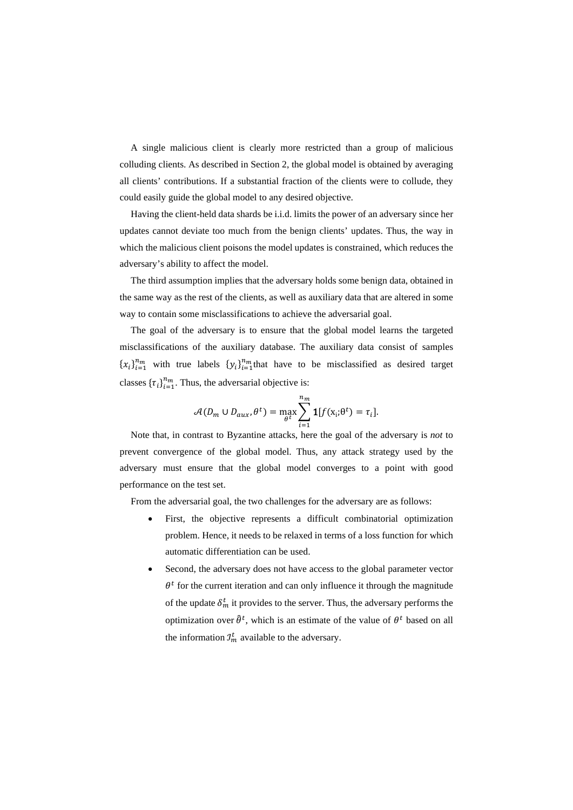A single malicious client is clearly more restricted than a group of malicious colluding clients. As described in Section [2,](#page-2-0) the global model is obtained by averaging all clients' contributions. If a substantial fraction of the clients were to collude, they could easily guide the global model to any desired objective.

Having the client-held data shards be i.i.d. limits the power of an adversary since her updates cannot deviate too much from the benign clients' updates. Thus, the way in which the malicious client poisons the model updates is constrained, which reduces the adversary's ability to affect the model.

The third assumption implies that the adversary holds some benign data, obtained in the same way as the rest of the clients, as well as auxiliary data that are altered in some way to contain some misclassifications to achieve the adversarial goal.

The goal of the adversary is to ensure that the global model learns the targeted misclassifications of the auxiliary database. The auxiliary data consist of samples  ${x_i}_{i=1}^{n_m}$  with true labels  ${y_i}_{i=1}^{n_m}$  that have to be misclassified as desired target classes  $\{\tau_i\}_{i=1}^{n_m}$ . Thus, the adversarial objective is:

$$
\mathcal{A}(D_m \cup D_{aux}, \theta^t) = \max_{\theta^t} \sum_{i=1}^{n_m} \mathbf{1}[f(\mathbf{x}_i; \theta^t) = \tau_i].
$$

Note that, in contrast to Byzantine attacks, here the goal of the adversary is *not* to prevent convergence of the global model. Thus, any attack strategy used by the adversary must ensure that the global model converges to a point with good performance on the test set.

From the adversarial goal, the two challenges for the adversary are as follows:

- First, the objective represents a difficult combinatorial optimization problem. Hence, it needs to be relaxed in terms of a loss function for which automatic differentiation can be used.
- Second, the adversary does not have access to the global parameter vector  $\theta^t$  for the current iteration and can only influence it through the magnitude of the update  $\delta_m^t$  it provides to the server. Thus, the adversary performs the optimization over  $\hat{\theta}^t$ , which is an estimate of the value of  $\theta^t$  based on all the information  $\mathcal{I}_m^t$  available to the adversary.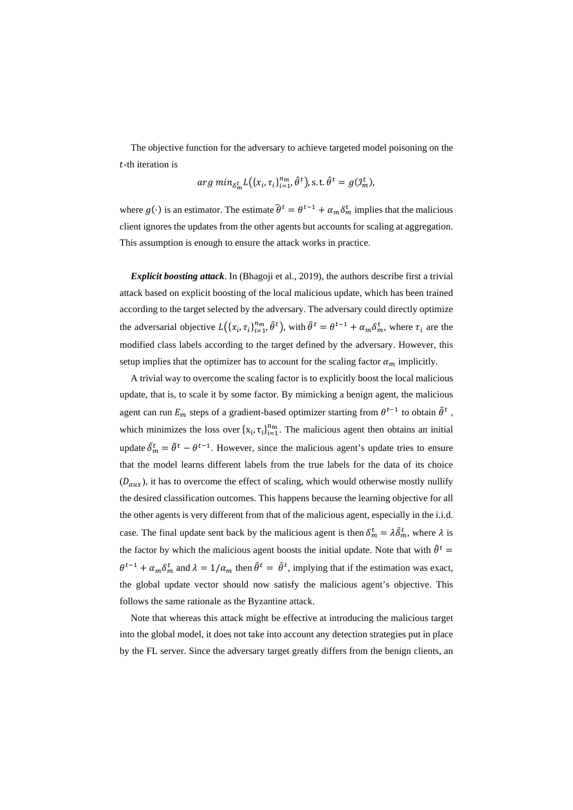The objective function for the adversary to achieve targeted model poisoning on the  $t$ -th iteration is

$$
arg min_{\delta_m^t} L(\lbrace x_i, \tau_i \rbrace_{i=1}^{n_m}, \hat{\theta}^t \rbrace, \text{s.t.} \hat{\theta}^t = g(\mathcal{I}_m^t),
$$

where  $g(\cdot)$  is an estimator. The estimate  $\theta^t = \theta^{t-1} + \alpha_m \delta_m^t$  implies that the malicious client ignores the updates from the other agents but accounts for scaling at aggregation. This assumption is enough to ensure the attack works in practice.

*Explicit boosting attack*. In (Bhagoji et al., 2019), the authors describe first a trivial attack based on explicit boosting of the local malicious update, which has been trained according to the target selected by the adversary. The adversary could directly optimize the adversarial objective  $L(\lbrace x_i, \tau_i \rbrace_{i=1}^{n_m}, \hat{\theta}^t)$ , with  $\hat{\theta}^t = \theta^{t-1} + \alpha_m \delta_m^t$ , where  $\tau_i$  are the modified class labels according to the target defined by the adversary. However, this setup implies that the optimizer has to account for the scaling factor  $\alpha_m$  implicitly.

A trivial way to overcome the scaling factor is to explicitly boost the local malicious update, that is, to scale it by some factor. By mimicking a benign agent, the malicious agent can run  $E_m$  steps of a gradient-based optimizer starting from  $\theta^{t-1}$  to obtain  $\tilde{\theta}^t$ , which minimizes the loss over  $\{x_i, \tau_i\}_{i=1}^{n_m}$ . The malicious agent then obtains an initial update  $\delta_m^t = \theta^t - \theta^{t-1}$ . However, since the malicious agent's update tries to ensure that the model learns different labels from the true labels for the data of its choice  $(D_{aux})$ , it has to overcome the effect of scaling, which would otherwise mostly nullify the desired classification outcomes. This happens because the learning objective for all the other agents is very different from that of the malicious agent, especially in the i.i.d. case. The final update sent back by the malicious agent is then  $\delta_m^t = \lambda \delta_m^t$ , where  $\lambda$  is the factor by which the malicious agent boosts the initial update. Note that with  $\hat{\theta}^t$  =  $\theta^{t-1} + \alpha_m \delta_m^t$  and  $\lambda = 1/\alpha_m$  then  $\theta^t = \theta^t$ , implying that if the estimation was exact, the global update vector should now satisfy the malicious agent's objective. This follows the same rationale as the Byzantine attack.

Note that whereas this attack might be effective at introducing the malicious target into the global model, it does not take into account any detection strategies put in place by the FL server. Since the adversary target greatly differs from the benign clients, an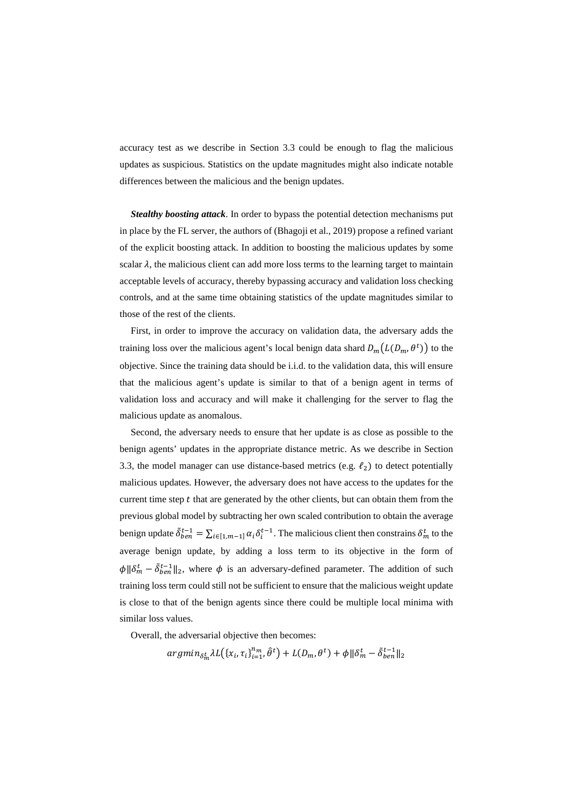accuracy test as we describe in Section [3.3](#page-11-0) could be enough to flag the malicious updates as suspicious. Statistics on the update magnitudes might also indicate notable differences between the malicious and the benign updates.

*Stealthy boosting attack*. In order to bypass the potential detection mechanisms put in place by the FL server, the authors of (Bhagoji et al., 2019) propose a refined variant of the explicit boosting attack. In addition to boosting the malicious updates by some scalar  $\lambda$ , the malicious client can add more loss terms to the learning target to maintain acceptable levels of accuracy, thereby bypassing accuracy and validation loss checking controls, and at the same time obtaining statistics of the update magnitudes similar to those of the rest of the clients.

First, in order to improve the accuracy on validation data, the adversary adds the training loss over the malicious agent's local benign data shard  $D_m(L(D_m, \theta^t))$  to the objective. Since the training data should be i.i.d. to the validation data, this will ensure that the malicious agent's update is similar to that of a benign agent in terms of validation loss and accuracy and will make it challenging for the server to flag the malicious update as anomalous.

Second, the adversary needs to ensure that her update is as close as possible to the benign agents' updates in the appropriate distance metric. As we describe in Section [3.3,](#page-11-0) the model manager can use distance-based metrics (e.g.  $\ell_2$ ) to detect potentially malicious updates. However, the adversary does not have access to the updates for the current time step  $t$  that are generated by the other clients, but can obtain them from the previous global model by subtracting her own scaled contribution to obtain the average benign update  $\delta_{ben}^{t-1} = \sum_{i \in [1,m-1]} \alpha_i \delta_i^{t-1}$ . The malicious client then constrains  $\delta_m^t$  to the average benign update, by adding a loss term to its objective in the form of  $\phi$ || $\delta_m^t - \delta_{ben}^{t-1}$ ||<sub>2</sub>, where  $\phi$  is an adversary-defined parameter. The addition of such training loss term could still not be sufficient to ensure that the malicious weight update is close to that of the benign agents since there could be multiple local minima with similar loss values.

Overall, the adversarial objective then becomes:

$$
argmin_{\delta_m^t} \lambda L(\{x_i, \tau_i\}_{i=1}^{n_m}, \hat{\theta}^t) + L(D_m, \theta^t) + \phi \|\delta_m^t - \tilde{\delta}_{ben}^{t-1}\|_2
$$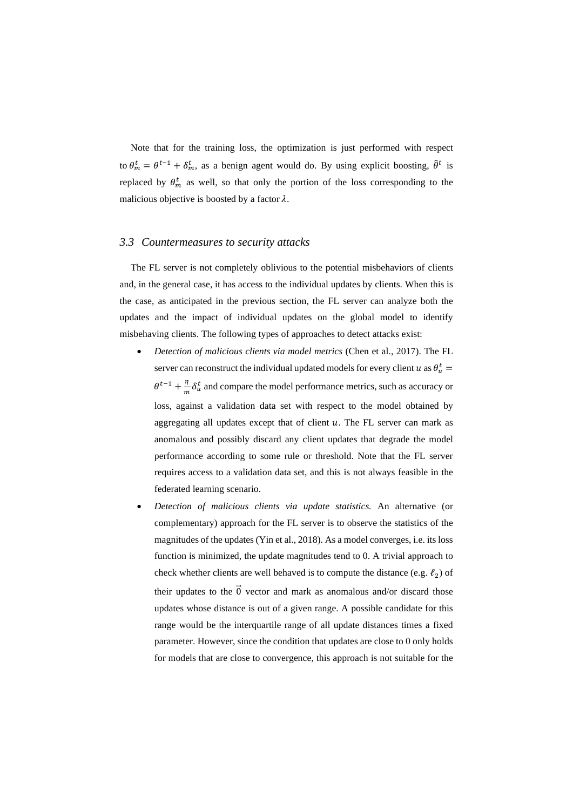Note that for the training loss, the optimization is just performed with respect to  $\theta_m^t = \theta^{t-1} + \delta_m^t$ , as a benign agent would do. By using explicit boosting,  $\theta^t$  is replaced by  $\theta_m^i$  as well, so that only the portion of the loss corresponding to the malicious objective is boosted by a factor  $\lambda$ .

# <span id="page-11-0"></span>*3.3 Countermeasures to security attacks*

The FL server is not completely oblivious to the potential misbehaviors of clients and, in the general case, it has access to the individual updates by clients. When this is the case, as anticipated in the previous section, the FL server can analyze both the updates and the impact of individual updates on the global model to identify misbehaving clients. The following types of approaches to detect attacks exist:

- *Detection of malicious clients via model metrics* (Chen et al., 2017). The FL server can reconstruct the individual updated models for every client  $u$  as  $\theta_u^t =$  $\theta^{t-1} + \frac{\eta}{m} \delta_u^t$  and compare the model performance metrics, such as accuracy or loss, against a validation data set with respect to the model obtained by aggregating all updates except that of client  $u$ . The FL server can mark as anomalous and possibly discard any client updates that degrade the model performance according to some rule or threshold. Note that the FL server requires access to a validation data set, and this is not always feasible in the federated learning scenario.
- *Detection of malicious clients via update statistics.* An alternative (or complementary) approach for the FL server is to observe the statistics of the magnitudes of the updates (Yin et al., 2018). As a model converges, i.e. its loss function is minimized, the update magnitudes tend to 0. A trivial approach to check whether clients are well behaved is to compute the distance (e.g.  $\ell_2$ ) of their updates to the  $\vec{0}$  vector and mark as anomalous and/or discard those updates whose distance is out of a given range. A possible candidate for this range would be the interquartile range of all update distances times a fixed parameter. However, since the condition that updates are close to 0 only holds for models that are close to convergence, this approach is not suitable for the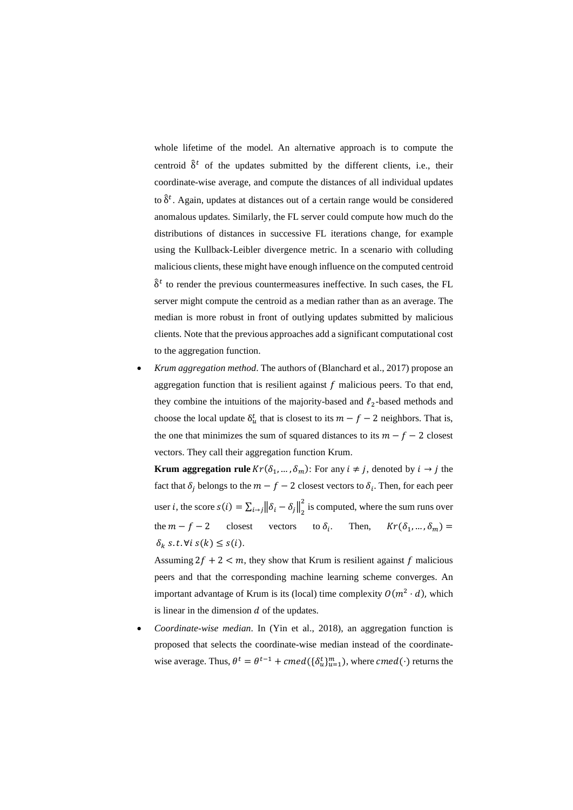whole lifetime of the model. An alternative approach is to compute the centroid  $\hat{\delta}^t$  of the updates submitted by the different clients, i.e., their coordinate-wise average, and compute the distances of all individual updates to  $\delta^t$ . Again, updates at distances out of a certain range would be considered anomalous updates. Similarly, the FL server could compute how much do the distributions of distances in successive FL iterations change, for example using the Kullback-Leibler divergence metric. In a scenario with colluding malicious clients, these might have enough influence on the computed centroid  $\hat{\delta}^t$  to render the previous countermeasures ineffective. In such cases, the FL server might compute the centroid as a median rather than as an average. The median is more robust in front of outlying updates submitted by malicious clients. Note that the previous approaches add a significant computational cost to the aggregation function.

• *Krum aggregation method*. The authors of (Blanchard et al., 2017) propose an aggregation function that is resilient against  $f$  malicious peers. To that end, they combine the intuitions of the majority-based and  $\ell_2$ -based methods and choose the local update  $\delta_u^t$  that is closest to its  $m - f - 2$  neighbors. That is, the one that minimizes the sum of squared distances to its  $m - f - 2$  closest vectors. They call their aggregation function Krum.

**Krum aggregation rule**  $Kr(\delta_1, ..., \delta_m)$ : For any  $i \neq j$ , denoted by  $i \rightarrow j$  the fact that  $\delta_j$  belongs to the  $m - f - 2$  closest vectors to  $\delta_i$ . Then, for each peer user *i*, the score  $s(i) = \sum_{i \to j} ||\delta_i - \delta_j||_2^2$  is computed, where the sum runs over the  $m - f - 2$  closest vectors to  $\delta_i$ . Then,  $Kr(\delta_1, ..., \delta_m)$  =  $\delta_k$  s.t.  $\forall i$  s(k)  $\leq$  s(i).

Assuming  $2f + 2 < m$ , they show that Krum is resilient against f malicious peers and that the corresponding machine learning scheme converges. An important advantage of Krum is its (local) time complexity  $O(m^2 \cdot d)$ , which is linear in the dimension  $d$  of the updates.

• *Coordinate-wise median*. In (Yin et al., 2018), an aggregation function is proposed that selects the coordinate-wise median instead of the coordinatewise average. Thus,  $\theta^t = \theta^{t-1} + c \text{med}(\{\delta_u^t\}_{u=1}^m)$ , where  $c \text{med}(\cdot)$  returns the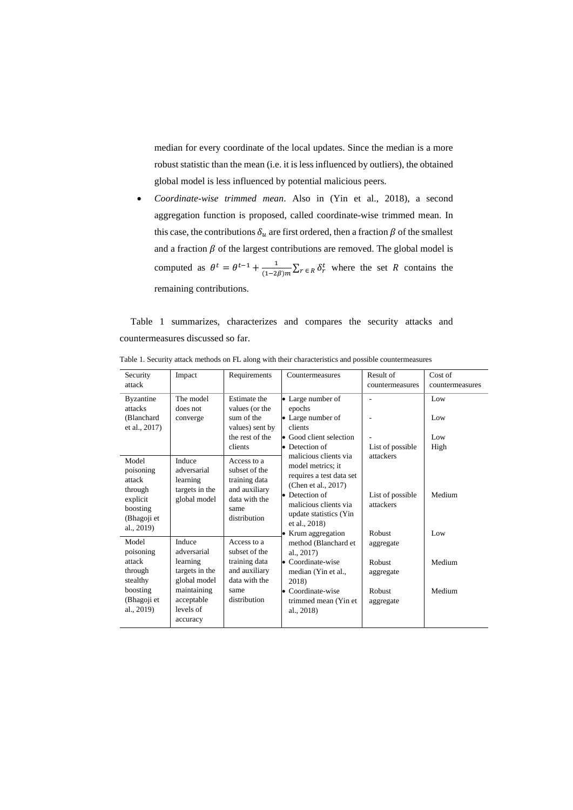median for every coordinate of the local updates. Since the median is a more robust statistic than the mean (i.e. it is less influenced by outliers), the obtained global model is less influenced by potential malicious peers.

• *Coordinate-wise trimmed mean*. Also in (Yin et al., 2018), a second aggregation function is proposed, called coordinate-wise trimmed mean. In this case, the contributions  $\delta_u$  are first ordered, then a fraction  $\beta$  of the smallest and a fraction  $\beta$  of the largest contributions are removed. The global model is computed as  $\theta^t = \theta^{t-1} + \frac{1}{(1-2\beta)m} \sum_{r \in R} \delta_r^t$  where the set R contains the remaining contributions.

[Table 1](#page-13-0) summarizes, characterizes and compares the security attacks and countermeasures discussed so far.

| Security<br>attack                                                                           | Impact                                                              | Requirements                                                                                            | Countermeasures                                                                                                                                                                                           | Result of<br>countermeasures                         | Cost of<br>countermeasures |
|----------------------------------------------------------------------------------------------|---------------------------------------------------------------------|---------------------------------------------------------------------------------------------------------|-----------------------------------------------------------------------------------------------------------------------------------------------------------------------------------------------------------|------------------------------------------------------|----------------------------|
| <b>Byzantine</b><br>attacks<br>(Blanchard<br>et al., 2017)                                   | The model<br>does not<br>converge                                   | Estimate the<br>values (or the<br>sum of the<br>values) sent by                                         | • Large number of<br>epochs<br>• Large number of<br>clients                                                                                                                                               | L,                                                   | Low<br>Low                 |
|                                                                                              |                                                                     | the rest of the<br>clients                                                                              | • Good client selection<br>• Detection of                                                                                                                                                                 | List of possible                                     | Low<br>High                |
| Model<br>poisoning<br>attack<br>through<br>explicit<br>boosting<br>(Bhagoji et<br>al., 2019) | Induce<br>adversarial<br>learning<br>targets in the<br>global model | Access to a<br>subset of the<br>training data<br>and auxiliary<br>data with the<br>same<br>distribution | malicious clients via<br>model metrics; it<br>requires a test data set<br>(Chen et al., 2017)<br>• Detection of<br>malicious clients via<br>update statistics (Yin<br>et al., 2018)<br>• Krum aggregation | attackers<br>List of possible<br>attackers<br>Robust | Medium<br>Low              |
| Model<br>poisoning                                                                           | Induce<br>adversarial                                               | Access to a<br>subset of the                                                                            | method (Blanchard et<br>al., $2017$ )                                                                                                                                                                     | aggregate                                            |                            |
| attack<br>through<br>stealthy                                                                | learning<br>targets in the<br>global model                          | training data<br>and auxiliary<br>data with the                                                         | • Coordinate-wise<br>median (Yin et al.,<br>2018)                                                                                                                                                         | Robust<br>aggregate                                  | Medium                     |
| boosting<br>(Bhagoji et<br>al., 2019)                                                        | maintaining<br>acceptable<br>levels of<br>accuracy                  | same<br>distribution                                                                                    | • Coordinate-wise<br>trimmed mean (Yin et<br>al., 2018)                                                                                                                                                   | Robust<br>aggregate                                  | Medium                     |

<span id="page-13-0"></span>Table 1. Security attack methods on FL along with their characteristics and possible countermeasures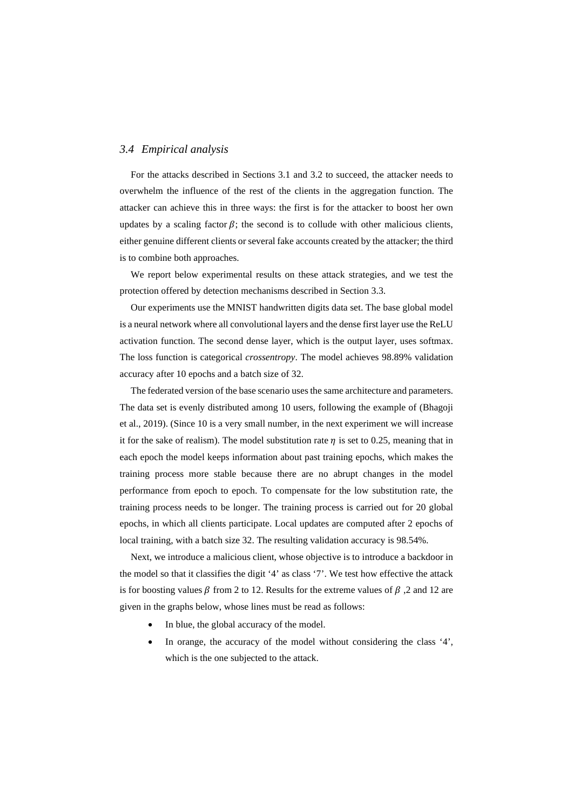# <span id="page-14-0"></span>*3.4 Empirical analysis*

For the attacks described in Sections [3.1](#page-5-0) and [3.2](#page-6-0) to succeed, the attacker needs to overwhelm the influence of the rest of the clients in the aggregation function. The attacker can achieve this in three ways: the first is for the attacker to boost her own updates by a scaling factor  $\beta$ ; the second is to collude with other malicious clients, either genuine different clients or several fake accounts created by the attacker; the third is to combine both approaches.

We report below experimental results on these attack strategies, and we test the protection offered by detection mechanisms described in Section [3.3.](#page-11-0)

Our experiments use the MNIST handwritten digits data set. The base global model is a neural network where all convolutional layers and the dense first layer use the ReLU activation function. The second dense layer, which is the output layer, uses softmax. The loss function is categorical *crossentropy*. The model achieves 98.89% validation accuracy after 10 epochs and a batch size of 32.

The federated version of the base scenario uses the same architecture and parameters. The data set is evenly distributed among 10 users, following the example of (Bhagoji et al., 2019). (Since 10 is a very small number, in the next experiment we will increase it for the sake of realism). The model substitution rate  $\eta$  is set to 0.25, meaning that in each epoch the model keeps information about past training epochs, which makes the training process more stable because there are no abrupt changes in the model performance from epoch to epoch. To compensate for the low substitution rate, the training process needs to be longer. The training process is carried out for 20 global epochs, in which all clients participate. Local updates are computed after 2 epochs of local training, with a batch size 32. The resulting validation accuracy is 98.54%.

Next, we introduce a malicious client, whose objective is to introduce a backdoor in the model so that it classifies the digit '4' as class '7'. We test how effective the attack is for boosting values  $\beta$  from 2 to 12. Results for the extreme values of  $\beta$ , 2 and 12 are given in the graphs below, whose lines must be read as follows:

- In blue, the global accuracy of the model.
- In orange, the accuracy of the model without considering the class '4', which is the one subjected to the attack.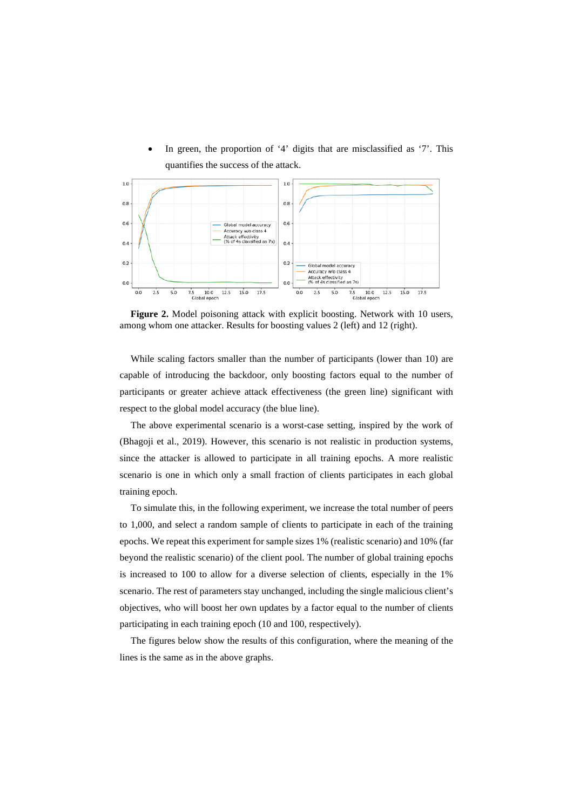• In green, the proportion of '4' digits that are misclassified as '7'. This quantifies the success of the attack.



**Figure 2.** Model poisoning attack with explicit boosting. Network with 10 users, among whom one attacker. Results for boosting values 2 (left) and 12 (right).

While scaling factors smaller than the number of participants (lower than 10) are capable of introducing the backdoor, only boosting factors equal to the number of participants or greater achieve attack effectiveness (the green line) significant with respect to the global model accuracy (the blue line).

The above experimental scenario is a worst-case setting, inspired by the work of (Bhagoji et al., 2019). However, this scenario is not realistic in production systems, since the attacker is allowed to participate in all training epochs. A more realistic scenario is one in which only a small fraction of clients participates in each global training epoch.

To simulate this, in the following experiment, we increase the total number of peers to 1,000, and select a random sample of clients to participate in each of the training epochs. We repeat this experiment for sample sizes 1% (realistic scenario) and 10% (far beyond the realistic scenario) of the client pool. The number of global training epochs is increased to 100 to allow for a diverse selection of clients, especially in the 1% scenario. The rest of parameters stay unchanged, including the single malicious client's objectives, who will boost her own updates by a factor equal to the number of clients participating in each training epoch (10 and 100, respectively).

The figures below show the results of this configuration, where the meaning of the lines is the same as in the above graphs.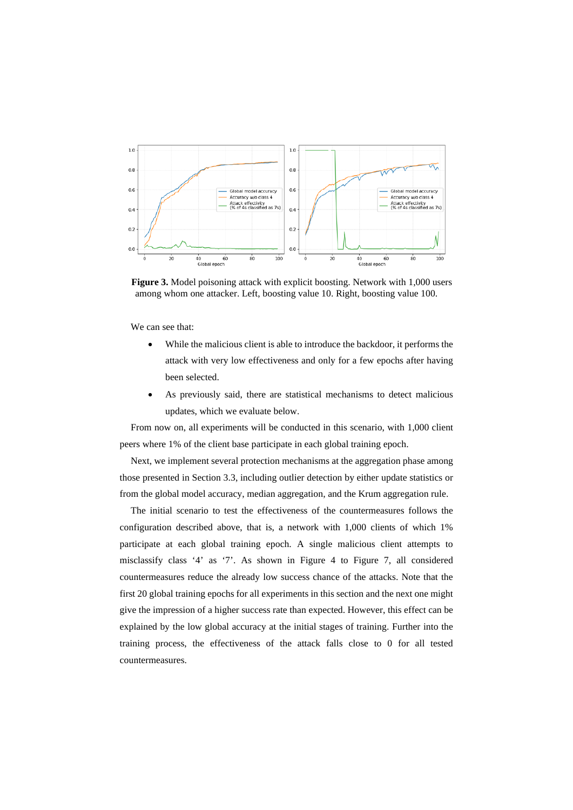

**Figure 3.** Model poisoning attack with explicit boosting. Network with 1,000 users among whom one attacker. Left, boosting value 10. Right, boosting value 100.

We can see that:

- While the malicious client is able to introduce the backdoor, it performs the attack with very low effectiveness and only for a few epochs after having been selected.
- As previously said, there are statistical mechanisms to detect malicious updates, which we evaluate below.

From now on, all experiments will be conducted in this scenario, with 1,000 client peers where 1% of the client base participate in each global training epoch.

Next, we implement several protection mechanisms at the aggregation phase among those presented in Section [3.3,](#page-11-0) including outlier detection by either update statistics or from the global model accuracy, median aggregation, and the Krum aggregation rule.

The initial scenario to test the effectiveness of the countermeasures follows the configuration described above, that is, a network with 1,000 clients of which 1% participate at each global training epoch. A single malicious client attempts to misclassify class '4' as '7'. As shown in [Figure 4](#page-17-0) to [Figure 7,](#page-17-1) all considered countermeasures reduce the already low success chance of the attacks. Note that the first 20 global training epochs for all experiments in this section and the next one might give the impression of a higher success rate than expected. However, this effect can be explained by the low global accuracy at the initial stages of training. Further into the training process, the effectiveness of the attack falls close to 0 for all tested countermeasures.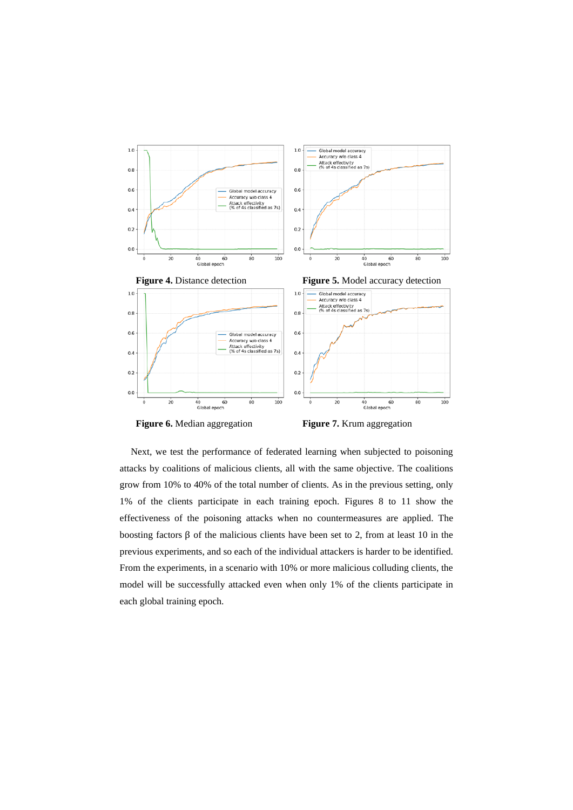<span id="page-17-0"></span>

**Figure 6.** Median aggregation **Figure 7.** Krum aggregation

<span id="page-17-1"></span>

Next, we test the performance of federated learning when subjected to poisoning attacks by coalitions of malicious clients, all with the same objective. The coalitions grow from 10% to 40% of the total number of clients. As in the previous setting, only 1% of the clients participate in each training epoch. Figures 8 to 11 show the effectiveness of the poisoning attacks when no countermeasures are applied. The boosting factors β of the malicious clients have been set to 2, from at least 10 in the previous experiments, and so each of the individual attackers is harder to be identified. From the experiments, in a scenario with 10% or more malicious colluding clients, the model will be successfully attacked even when only 1% of the clients participate in each global training epoch.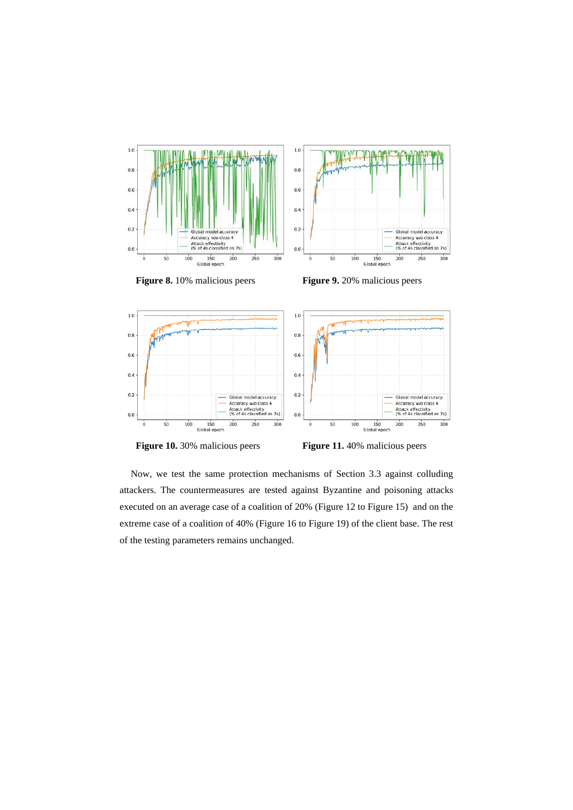

**Figure 8.** 10% malicious peers **Figure 9.** 20% malicious peers





Now, we test the same protection mechanisms of Section 3.3 against colluding attackers. The countermeasures are tested against Byzantine and poisoning attacks executed on an average case of a coalition of 20% [\(Figure 12](#page-19-0) to [Figure 15\)](#page-19-1) and on the extreme case of a coalition of 40% [\(Figure 16](#page-20-0) to [Figure 19\)](#page-20-1) of the client base. The rest of the testing parameters remains unchanged.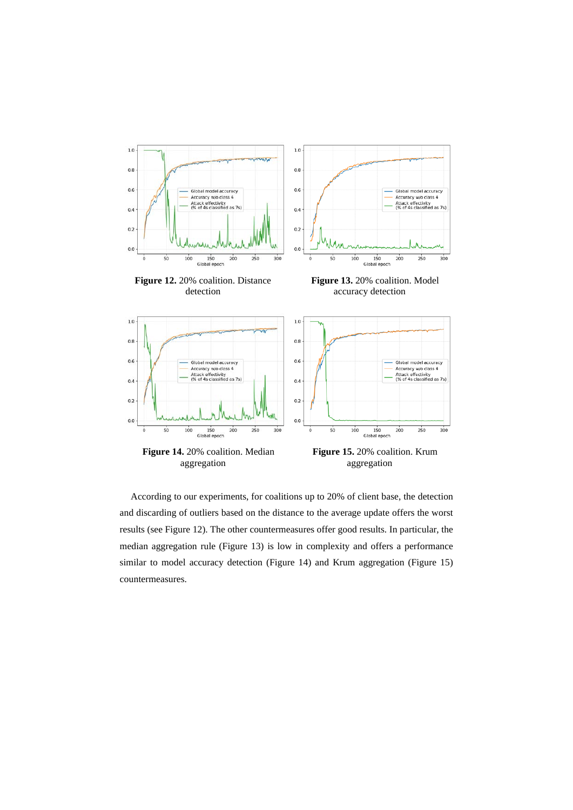<span id="page-19-2"></span><span id="page-19-0"></span>

<span id="page-19-3"></span><span id="page-19-1"></span>According to our experiments, for coalitions up to 20% of client base, the detection and discarding of outliers based on the distance to the average update offers the worst results (se[e Figure 12\)](#page-19-0). The other countermeasures offer good results. In particular, the median aggregation rule [\(Figure 13\)](#page-19-2) is low in complexity and offers a performance similar to model accuracy detection [\(Figure 14\)](#page-19-3) and Krum aggregation [\(Figure 15\)](#page-19-1) countermeasures.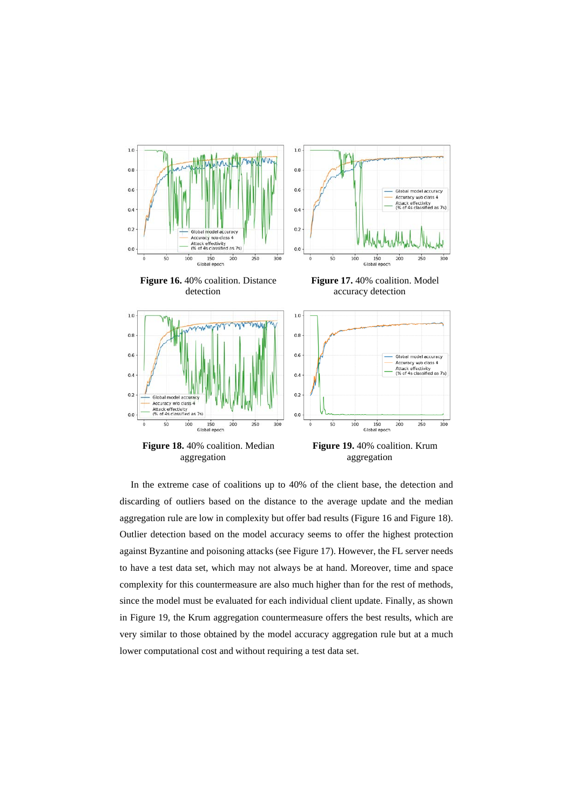<span id="page-20-3"></span><span id="page-20-0"></span>

<span id="page-20-2"></span><span id="page-20-1"></span>In the extreme case of coalitions up to 40% of the client base, the detection and discarding of outliers based on the distance to the average update and the median aggregation rule are low in complexity but offer bad results [\(Figure 16](#page-20-0) an[d Figure 18\)](#page-20-2). Outlier detection based on the model accuracy seems to offer the highest protection against Byzantine and poisoning attacks (see [Figure 17\)](#page-20-3). However, the FL server needs to have a test data set, which may not always be at hand. Moreover, time and space complexity for this countermeasure are also much higher than for the rest of methods, since the model must be evaluated for each individual client update. Finally, as shown in [Figure 19,](#page-20-1) the Krum aggregation countermeasure offers the best results, which are very similar to those obtained by the model accuracy aggregation rule but at a much lower computational cost and without requiring a test data set.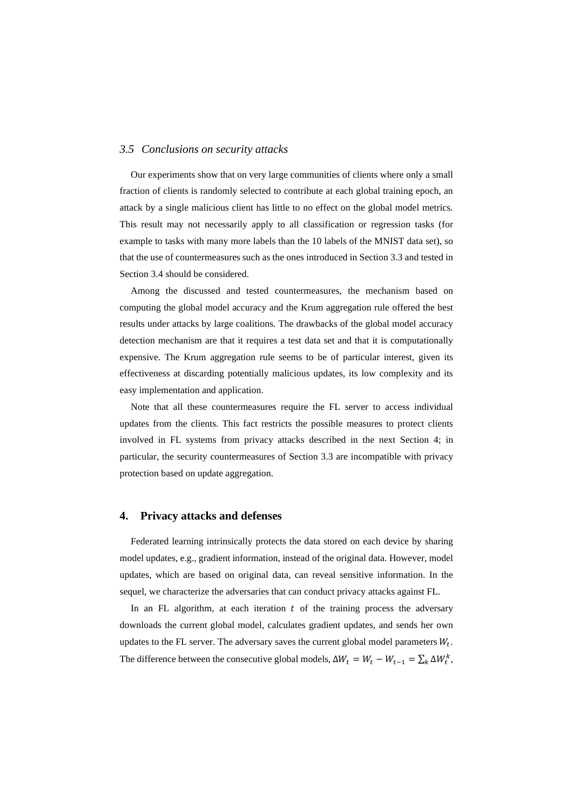# *3.5 Conclusions on security attacks*

Our experiments show that on very large communities of clients where only a small fraction of clients is randomly selected to contribute at each global training epoch, an attack by a single malicious client has little to no effect on the global model metrics. This result may not necessarily apply to all classification or regression tasks (for example to tasks with many more labels than the 10 labels of the MNIST data set), so that the use of countermeasures such as the ones introduced in Section [3.3](#page-11-0) and tested in Section [3.4](#page-14-0) should be considered.

Among the discussed and tested countermeasures, the mechanism based on computing the global model accuracy and the Krum aggregation rule offered the best results under attacks by large coalitions. The drawbacks of the global model accuracy detection mechanism are that it requires a test data set and that it is computationally expensive. The Krum aggregation rule seems to be of particular interest, given its effectiveness at discarding potentially malicious updates, its low complexity and its easy implementation and application.

Note that all these countermeasures require the FL server to access individual updates from the clients. This fact restricts the possible measures to protect clients involved in FL systems from privacy attacks described in the next Section [4;](#page-21-0) in particular, the security countermeasures of Section 3.3 are incompatible with privacy protection based on update aggregation.

#### <span id="page-21-0"></span>**4. Privacy attacks and defenses**

Federated learning intrinsically protects the data stored on each device by sharing model updates, e.g., gradient information, instead of the original data. However, model updates, which are based on original data, can reveal sensitive information. In the sequel, we characterize the adversaries that can conduct privacy attacks against FL.

In an FL algorithm, at each iteration  $t$  of the training process the adversary downloads the current global model, calculates gradient updates, and sends her own updates to the FL server. The adversary saves the current global model parameters  $W_t$ . The difference between the consecutive global models,  $\Delta W_t = W_t - W_{t-1} = \sum_k \Delta W_t^k$ ,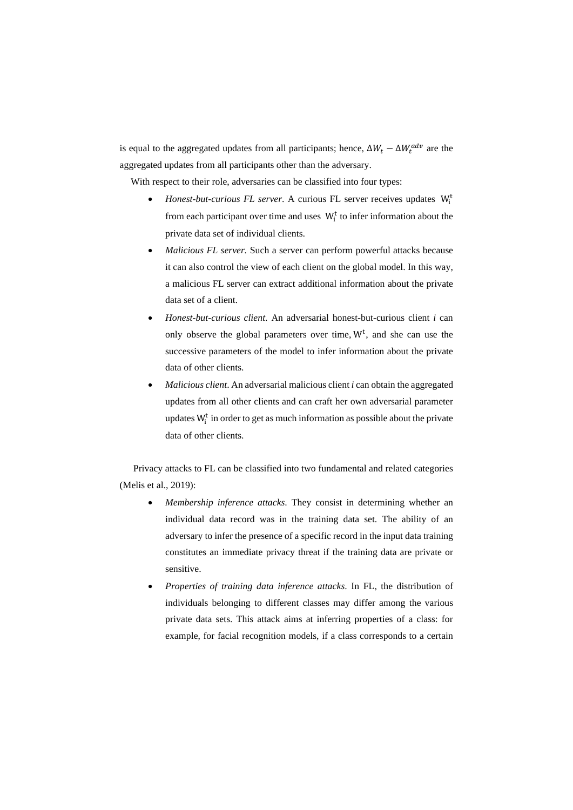is equal to the aggregated updates from all participants; hence,  $\Delta W_t - \Delta W_t^{aav}$  are the aggregated updates from all participants other than the adversary.

With respect to their role, adversaries can be classified into four types:

- *Honest-but-curious FL server.* A curious FL server receives updates  $W_i^t$ from each participant over time and uses  $W_i^t$  to infer information about the private data set of individual clients.
- *Malicious FL server.* Such a server can perform powerful attacks because it can also control the view of each client on the global model. In this way, a malicious FL server can extract additional information about the private data set of a client.
- *Honest-but-curious client*. An adversarial honest-but-curious client *i* can only observe the global parameters over time,  $W<sup>t</sup>$ , and she can use the successive parameters of the model to infer information about the private data of other clients.
- *Malicious client*. An adversarial malicious client *i* can obtain the aggregated updates from all other clients and can craft her own adversarial parameter updates  $W_i^t$  in order to get as much information as possible about the private data of other clients.

Privacy attacks to FL can be classified into two fundamental and related categories (Melis et al., 2019):

- *Membership inference attacks*. They consist in determining whether an individual data record was in the training data set. The ability of an adversary to infer the presence of a specific record in the input data training constitutes an immediate privacy threat if the training data are private or sensitive.
- *Properties of training data inference attacks*. In FL, the distribution of individuals belonging to different classes may differ among the various private data sets. This attack aims at inferring properties of a class: for example, for facial recognition models, if a class corresponds to a certain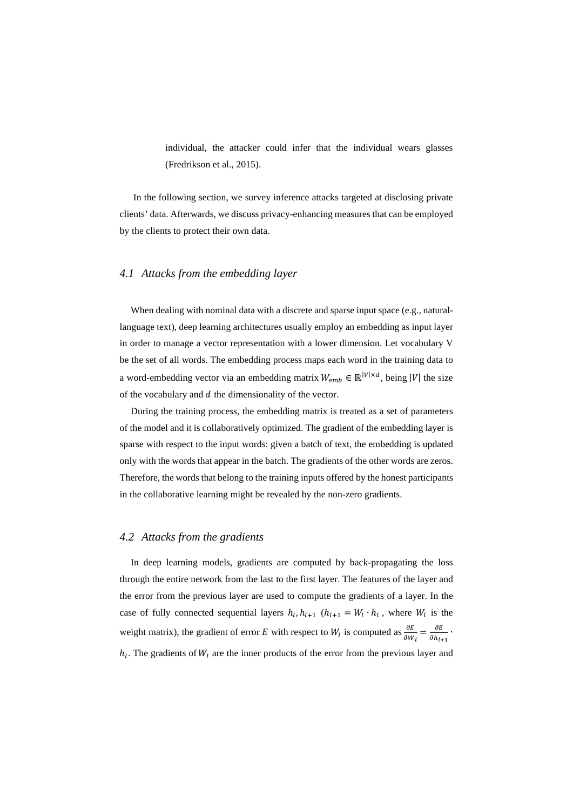individual, the attacker could infer that the individual wears glasses (Fredrikson et al., 2015).

In the following section, we survey inference attacks targeted at disclosing private clients' data. Afterwards, we discuss privacy-enhancing measures that can be employed by the clients to protect their own data.

# *4.1 Attacks from the embedding layer*

When dealing with nominal data with a discrete and sparse input space (e.g., naturallanguage text), deep learning architectures usually employ an embedding as input layer in order to manage a vector representation with a lower dimension. Let vocabulary V be the set of all words. The embedding process maps each word in the training data to a word-embedding vector via an embedding matrix  $W_{emb} \in \mathbb{R}^{|V| \times d}$ , being |V| the size of the vocabulary and  $d$  the dimensionality of the vector.

During the training process, the embedding matrix is treated as a set of parameters of the model and it is collaboratively optimized. The gradient of the embedding layer is sparse with respect to the input words: given a batch of text, the embedding is updated only with the words that appear in the batch. The gradients of the other words are zeros. Therefore, the words that belong to the training inputs offered by the honest participants in the collaborative learning might be revealed by the non-zero gradients.

#### *4.2 Attacks from the gradients*

In deep learning models, gradients are computed by back-propagating the loss through the entire network from the last to the first layer. The features of the layer and the error from the previous layer are used to compute the gradients of a layer. In the case of fully connected sequential layers  $h_l, h_{l+1}$  ( $h_{l+1} = W_l \cdot h_l$ , where  $W_l$  is the weight matrix), the gradient of error E with respect to  $W_l$  is computed as  $\frac{\partial E}{\partial W_l} = \frac{\partial E}{\partial h_{l+1}}$ .  $h_l$ . The gradients of  $W_l$  are the inner products of the error from the previous layer and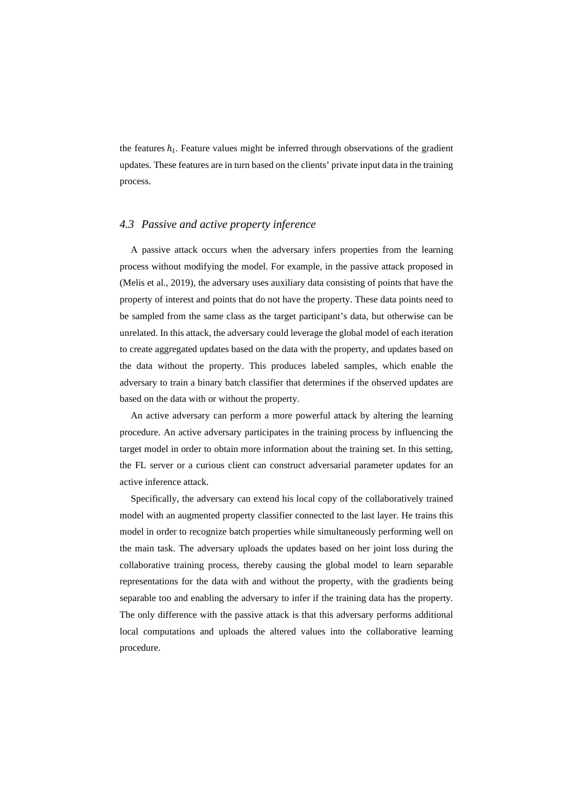the features  $h_l$ . Feature values might be inferred through observations of the gradient updates. These features are in turn based on the clients' private input data in the training process.

### *4.3 Passive and active property inference*

A passive attack occurs when the adversary infers properties from the learning process without modifying the model. For example, in the passive attack proposed in (Melis et al., 2019), the adversary uses auxiliary data consisting of points that have the property of interest and points that do not have the property. These data points need to be sampled from the same class as the target participant's data, but otherwise can be unrelated. In this attack, the adversary could leverage the global model of each iteration to create aggregated updates based on the data with the property, and updates based on the data without the property. This produces labeled samples, which enable the adversary to train a binary batch classifier that determines if the observed updates are based on the data with or without the property.

An active adversary can perform a more powerful attack by altering the learning procedure. An active adversary participates in the training process by influencing the target model in order to obtain more information about the training set. In this setting, the FL server or a curious client can construct adversarial parameter updates for an active inference attack.

Specifically, the adversary can extend his local copy of the collaboratively trained model with an augmented property classifier connected to the last layer. He trains this model in order to recognize batch properties while simultaneously performing well on the main task. The adversary uploads the updates based on her joint loss during the collaborative training process, thereby causing the global model to learn separable representations for the data with and without the property, with the gradients being separable too and enabling the adversary to infer if the training data has the property. The only difference with the passive attack is that this adversary performs additional local computations and uploads the altered values into the collaborative learning procedure.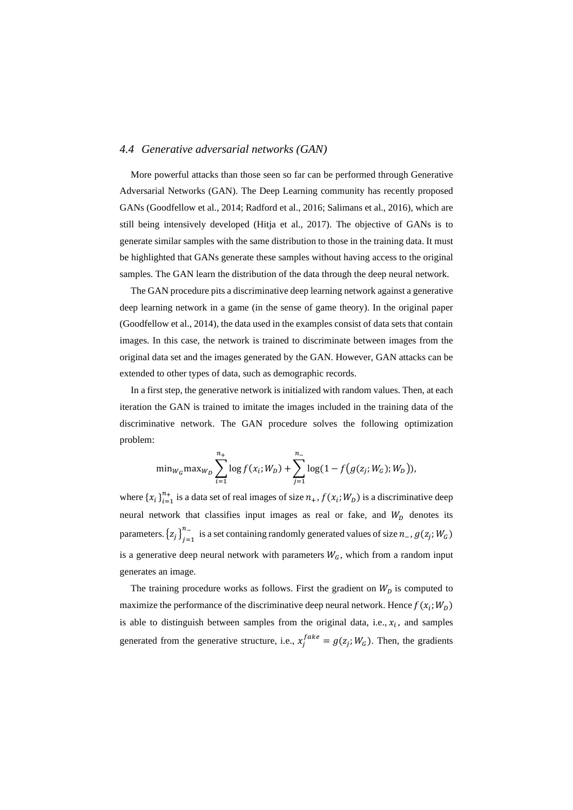### *4.4 Generative adversarial networks (GAN)*

More powerful attacks than those seen so far can be performed through Generative Adversarial Networks (GAN). The Deep Learning community has recently proposed GANs (Goodfellow et al., 2014; Radford et al., 2016; Salimans et al., 2016), which are still being intensively developed (Hitja et al., 2017). The objective of GANs is to generate similar samples with the same distribution to those in the training data. It must be highlighted that GANs generate these samples without having access to the original samples. The GAN learn the distribution of the data through the deep neural network.

The GAN procedure pits a discriminative deep learning network against a generative deep learning network in a game (in the sense of game theory). In the original paper (Goodfellow et al., 2014), the data used in the examples consist of data sets that contain images. In this case, the network is trained to discriminate between images from the original data set and the images generated by the GAN. However, GAN attacks can be extended to other types of data, such as demographic records.

In a first step, the generative network is initialized with random values. Then, at each iteration the GAN is trained to imitate the images included in the training data of the discriminative network. The GAN procedure solves the following optimization problem:

$$
\min_{W_G} \max_{W_D} \sum_{i=1}^{n_+} \log f(x_i; W_D) + \sum_{j=1}^{n_-} \log(1 - f(g(z_j; W_G); W_D)),
$$

where  $\{x_i\}_{i=1}^{n_+}$  is a data set of real images of size  $n_+$ ,  $f(x_i;W_D)$  is a discriminative deep neural network that classifies input images as real or fake, and  $W_D$  denotes its parameters.  $\{z_j\}_{j=1}^{n_-}$  is a set containing randomly generated values of size  $n_-, g(z_j; W_G)$ is a generative deep neural network with parameters  $W_G$ , which from a random input generates an image.

The training procedure works as follows. First the gradient on  $W<sub>D</sub>$  is computed to maximize the performance of the discriminative deep neural network. Hence  $f(x_i; W_D)$ is able to distinguish between samples from the original data, i.e.,  $x_i$ , and samples generated from the generative structure, i.e.,  $x_j^{face} = g(z_j; W_G)$ . Then, the gradients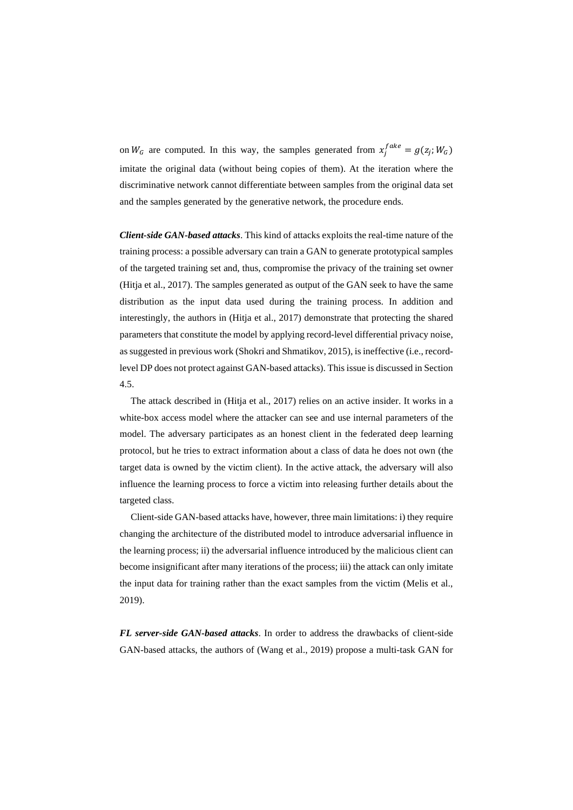on  $W_G$  are computed. In this way, the samples generated from  $x_j^{Iake} = g(z_j; W_G)$ imitate the original data (without being copies of them). At the iteration where the discriminative network cannot differentiate between samples from the original data set and the samples generated by the generative network, the procedure ends.

*Client-side GAN-based attacks*. This kind of attacks exploits the real-time nature of the training process: a possible adversary can train a GAN to generate prototypical samples of the targeted training set and, thus, compromise the privacy of the training set owner (Hitja et al., 2017). The samples generated as output of the GAN seek to have the same distribution as the input data used during the training process. In addition and interestingly, the authors in (Hitja et al., 2017) demonstrate that protecting the shared parameters that constitute the model by applying record-level differential privacy noise, as suggested in previous work (Shokri and Shmatikov, 2015), is ineffective (i.e., recordlevel DP does not protect against GAN-based attacks). This issue is discussed in Section [4.5.](#page-27-0)

The attack described in (Hitja et al., 2017) relies on an active insider. It works in a white-box access model where the attacker can see and use internal parameters of the model. The adversary participates as an honest client in the federated deep learning protocol, but he tries to extract information about a class of data he does not own (the target data is owned by the victim client). In the active attack, the adversary will also influence the learning process to force a victim into releasing further details about the targeted class.

Client-side GAN-based attacks have, however, three main limitations: i) they require changing the architecture of the distributed model to introduce adversarial influence in the learning process; ii) the adversarial influence introduced by the malicious client can become insignificant after many iterations of the process; iii) the attack can only imitate the input data for training rather than the exact samples from the victim (Melis et al., 2019).

*FL server-side GAN-based attacks*. In order to address the drawbacks of client-side GAN-based attacks, the authors of (Wang et al., 2019) propose a multi-task GAN for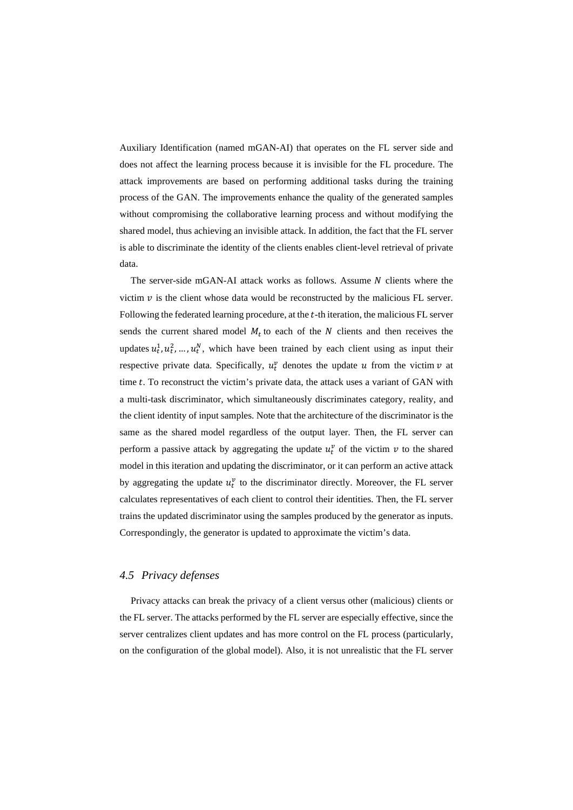Auxiliary Identification (named mGAN-AI) that operates on the FL server side and does not affect the learning process because it is invisible for the FL procedure. The attack improvements are based on performing additional tasks during the training process of the GAN. The improvements enhance the quality of the generated samples without compromising the collaborative learning process and without modifying the shared model, thus achieving an invisible attack. In addition, the fact that the FL server is able to discriminate the identity of the clients enables client-level retrieval of private data.

The server-side mGAN-AI attack works as follows. Assume  $N$  clients where the victim  $v$  is the client whose data would be reconstructed by the malicious FL server. Following the federated learning procedure, at the  $t$ -th iteration, the malicious FL server sends the current shared model  $M_t$  to each of the N clients and then receives the updates  $u_t^1, u_t^2, ..., u_t^N$ , which have been trained by each client using as input their respective private data. Specifically,  $u_t^v$  denotes the update  $u$  from the victim  $v$  at time  $t$ . To reconstruct the victim's private data, the attack uses a variant of GAN with a multi-task discriminator, which simultaneously discriminates category, reality, and the client identity of input samples. Note that the architecture of the discriminator is the same as the shared model regardless of the output layer. Then, the FL server can perform a passive attack by aggregating the update  $u_t^v$  of the victim  $v$  to the shared model in this iteration and updating the discriminator, or it can perform an active attack by aggregating the update  $u_t^v$  to the discriminator directly. Moreover, the FL server calculates representatives of each client to control their identities. Then, the FL server trains the updated discriminator using the samples produced by the generator as inputs. Correspondingly, the generator is updated to approximate the victim's data.

# <span id="page-27-0"></span>*4.5 Privacy defenses*

Privacy attacks can break the privacy of a client versus other (malicious) clients or the FL server. The attacks performed by the FL server are especially effective, since the server centralizes client updates and has more control on the FL process (particularly, on the configuration of the global model). Also, it is not unrealistic that the FL server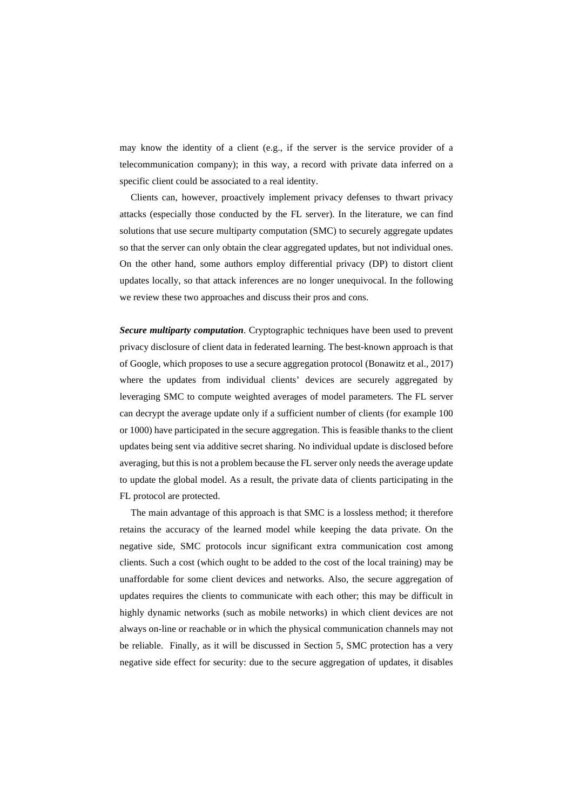may know the identity of a client (e.g., if the server is the service provider of a telecommunication company); in this way, a record with private data inferred on a specific client could be associated to a real identity.

Clients can, however, proactively implement privacy defenses to thwart privacy attacks (especially those conducted by the FL server). In the literature, we can find solutions that use secure multiparty computation (SMC) to securely aggregate updates so that the server can only obtain the clear aggregated updates, but not individual ones. On the other hand, some authors employ differential privacy (DP) to distort client updates locally, so that attack inferences are no longer unequivocal. In the following we review these two approaches and discuss their pros and cons.

*Secure multiparty computation*. Cryptographic techniques have been used to prevent privacy disclosure of client data in federated learning. The best-known approach is that of Google, which proposes to use a secure aggregation protocol (Bonawitz et al., 2017) where the updates from individual clients' devices are securely aggregated by leveraging SMC to compute weighted averages of model parameters. The FL server can decrypt the average update only if a sufficient number of clients (for example 100 or 1000) have participated in the secure aggregation. This is feasible thanks to the client updates being sent via additive secret sharing. No individual update is disclosed before averaging, but this is not a problem because the FL server only needs the average update to update the global model. As a result, the private data of clients participating in the FL protocol are protected.

The main advantage of this approach is that SMC is a lossless method; it therefore retains the accuracy of the learned model while keeping the data private. On the negative side, SMC protocols incur significant extra communication cost among clients. Such a cost (which ought to be added to the cost of the local training) may be unaffordable for some client devices and networks. Also, the secure aggregation of updates requires the clients to communicate with each other; this may be difficult in highly dynamic networks (such as mobile networks) in which client devices are not always on-line or reachable or in which the physical communication channels may not be reliable. Finally, as it will be discussed in Section [5,](#page-31-0) SMC protection has a very negative side effect for security: due to the secure aggregation of updates, it disables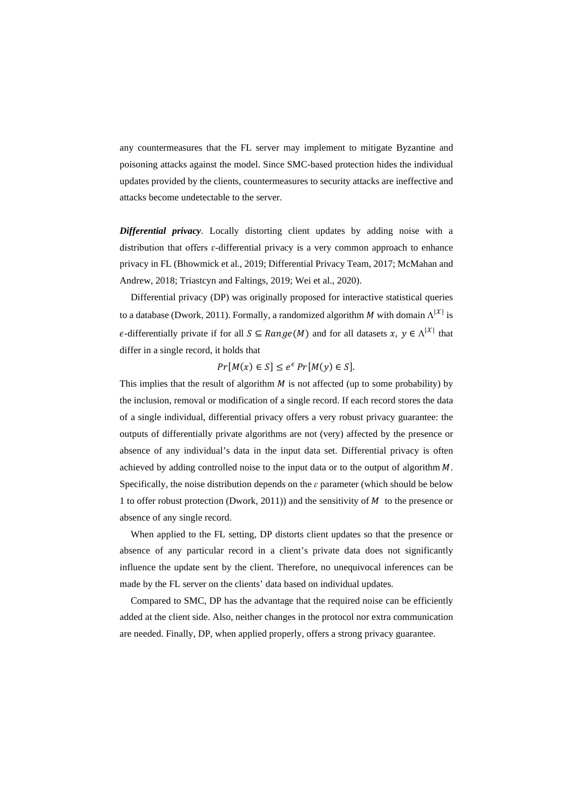any countermeasures that the FL server may implement to mitigate Byzantine and poisoning attacks against the model. Since SMC-based protection hides the individual updates provided by the clients, countermeasures to security attacks are ineffective and attacks become undetectable to the server.

*Differential privacy*. Locally distorting client updates by adding noise with a distribution that offers ɛ-differential privacy is a very common approach to enhance privacy in FL (Bhowmick et al., 2019; Differential Privacy Team, 2017; McMahan and Andrew, 2018; Triastcyn and Faltings, 2019; Wei et al., 2020).

Differential privacy (DP) was originally proposed for interactive statistical queries to a database (Dwork, 2011). Formally, a randomized algorithm  $M$  with domain  $\Lambda^{|\mathcal{X}|}$  is  $\epsilon$ -differentially private if for all  $S \subseteq Range(M)$  and for all datasets  $x, y \in \Lambda^{|\mathcal{X}|}$  that differ in a single record, it holds that

 $Pr[M(x) \in S] \leq e^{\epsilon} Pr[M(y) \in S].$ 

This implies that the result of algorithm  $M$  is not affected (up to some probability) by the inclusion, removal or modification of a single record. If each record stores the data of a single individual, differential privacy offers a very robust privacy guarantee: the outputs of differentially private algorithms are not (very) affected by the presence or absence of any individual's data in the input data set. Differential privacy is often achieved by adding controlled noise to the input data or to the output of algorithm  $M$ . Specifically, the noise distribution depends on the  $\varepsilon$  parameter (which should be below 1 to offer robust protection (Dwork, 2011)) and the sensitivity of  $M$  to the presence or absence of any single record.

When applied to the FL setting, DP distorts client updates so that the presence or absence of any particular record in a client's private data does not significantly influence the update sent by the client. Therefore, no unequivocal inferences can be made by the FL server on the clients' data based on individual updates.

Compared to SMC, DP has the advantage that the required noise can be efficiently added at the client side. Also, neither changes in the protocol nor extra communication are needed. Finally, DP, when applied properly, offers a strong privacy guarantee.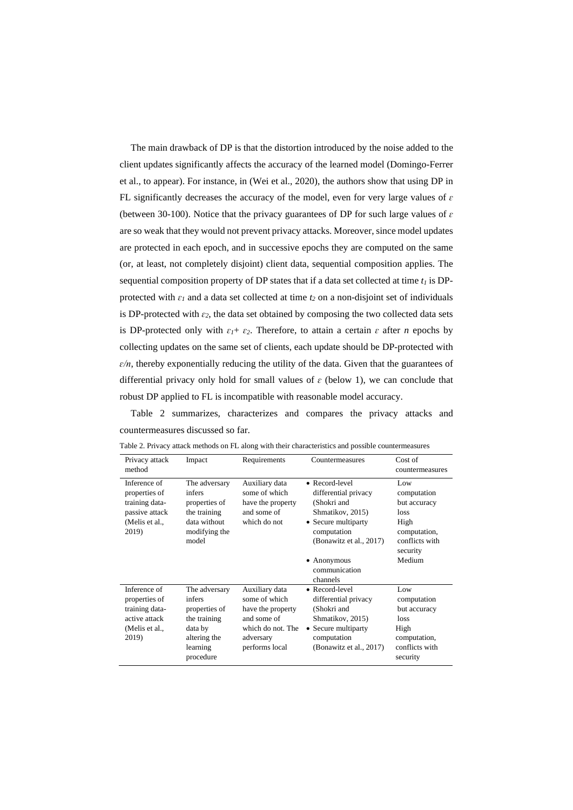The main drawback of DP is that the distortion introduced by the noise added to the client updates significantly affects the accuracy of the learned model (Domingo-Ferrer et al., to appear). For instance, in (Wei et al., 2020), the authors show that using DP in FL significantly decreases the accuracy of the model, even for very large values of  $\varepsilon$ (between 30-100). Notice that the privacy guarantees of DP for such large values of *ɛ* are so weak that they would not prevent privacy attacks. Moreover, since model updates are protected in each epoch, and in successive epochs they are computed on the same (or, at least, not completely disjoint) client data, sequential composition applies. The sequential composition property of DP states that if a data set collected at time  $t_1$  is DPprotected with  $\varepsilon_1$  and a data set collected at time  $t_2$  on a non-disjoint set of individuals is DP-protected with  $\varepsilon_2$ , the data set obtained by composing the two collected data sets is DP-protected only with  $\varepsilon_1 + \varepsilon_2$ . Therefore, to attain a certain  $\varepsilon$  after *n* epochs by collecting updates on the same set of clients, each update should be DP-protected with *ɛ/n*, thereby exponentially reducing the utility of the data. Given that the guarantees of differential privacy only hold for small values of  $\varepsilon$  (below 1), we can conclude that robust DP applied to FL is incompatible with reasonable model accuracy.

[Table 2](#page-30-0) summarizes, characterizes and compares the privacy attacks and countermeasures discussed so far.

| Privacy attack<br>method                                                                     | Impact                                                                                                       | Requirements                                                                                                            | Countermeasures                                                                                                                                                                    | Cost of<br>countermeasures                                                                                 |
|----------------------------------------------------------------------------------------------|--------------------------------------------------------------------------------------------------------------|-------------------------------------------------------------------------------------------------------------------------|------------------------------------------------------------------------------------------------------------------------------------------------------------------------------------|------------------------------------------------------------------------------------------------------------|
| Inference of<br>properties of<br>training data-<br>passive attack<br>(Melis et al.,<br>2019) | The adversary<br>infers<br>properties of<br>the training<br>data without<br>modifying the<br>model           | Auxiliary data<br>some of which<br>have the property<br>and some of<br>which do not                                     | • Record-level<br>differential privacy<br>(Shokri and<br>Shmatikov, 2015)<br>• Secure multiparty<br>computation<br>(Bonawitz et al., 2017)<br>$\bullet$ Anonymous<br>communication | Low<br>computation<br>but accuracy<br>loss<br>High<br>computation,<br>conflicts with<br>security<br>Medium |
|                                                                                              |                                                                                                              |                                                                                                                         | channels                                                                                                                                                                           |                                                                                                            |
| Inference of<br>properties of<br>training data-<br>active attack<br>(Melis et al.,<br>2019)  | The adversary<br>infers<br>properties of<br>the training<br>data by<br>altering the<br>learning<br>procedure | Auxiliary data<br>some of which<br>have the property<br>and some of<br>which do not. The<br>adversary<br>performs local | • Record-level<br>differential privacy<br>(Shokri and<br>Shmatikov, 2015)<br>• Secure multiparty<br>computation<br>(Bonawitz et al., 2017)                                         | Low<br>computation<br>but accuracy<br>loss<br>High<br>computation,<br>conflicts with<br>security           |

<span id="page-30-0"></span>Table 2. Privacy attack methods on FL along with their characteristics and possible countermeasures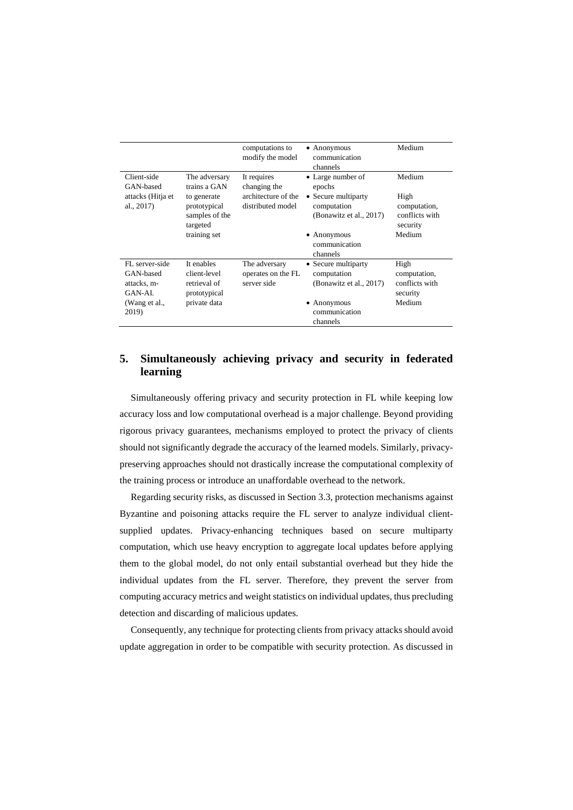|                                                      |                                                            | computations to<br>modify the model                | $\bullet$ Anonymous<br>communication<br>channels              | Medium                                             |
|------------------------------------------------------|------------------------------------------------------------|----------------------------------------------------|---------------------------------------------------------------|----------------------------------------------------|
| Client-side<br>GAN-based                             | The adversary<br>trains a GAN                              | It requires<br>changing the                        | • Large number of<br>epochs                                   | Medium                                             |
| attacks (Hitja et<br>al., 2017)                      | to generate<br>prototypical<br>samples of the<br>targeted  | architecture of the<br>distributed model           | • Secure multiparty<br>computation<br>(Bonawitz et al., 2017) | High<br>computation,<br>conflicts with<br>security |
|                                                      | training set                                               |                                                    | $\bullet$ Anonymous<br>communication<br>channels              | Medium                                             |
| FL server-side<br>GAN-based<br>attacks. m-<br>GAN-AL | It enables<br>client-level<br>retrieval of<br>prototypical | The adversary<br>operates on the FL<br>server side | • Secure multiparty<br>computation<br>(Bonawitz et al., 2017) | High<br>computation,<br>conflicts with<br>security |
| (Wang et al.,<br>2019)                               | private data                                               |                                                    | $\bullet$ Anonymous<br>communication<br>channels              | Medium                                             |

# <span id="page-31-0"></span>**5. Simultaneously achieving privacy and security in federated learning**

Simultaneously offering privacy and security protection in FL while keeping low accuracy loss and low computational overhead is a major challenge. Beyond providing rigorous privacy guarantees, mechanisms employed to protect the privacy of clients should not significantly degrade the accuracy of the learned models. Similarly, privacypreserving approaches should not drastically increase the computational complexity of the training process or introduce an unaffordable overhead to the network.

Regarding security risks, as discussed in Section [3.3,](#page-11-0) protection mechanisms against Byzantine and poisoning attacks require the FL server to analyze individual clientsupplied updates. Privacy-enhancing techniques based on secure multiparty computation, which use heavy encryption to aggregate local updates before applying them to the global model, do not only entail substantial overhead but they hide the individual updates from the FL server. Therefore, they prevent the server from computing accuracy metrics and weight statistics on individual updates, thus precluding detection and discarding of malicious updates.

Consequently, any technique for protecting clients from privacy attacks should avoid update aggregation in order to be compatible with security protection. As discussed in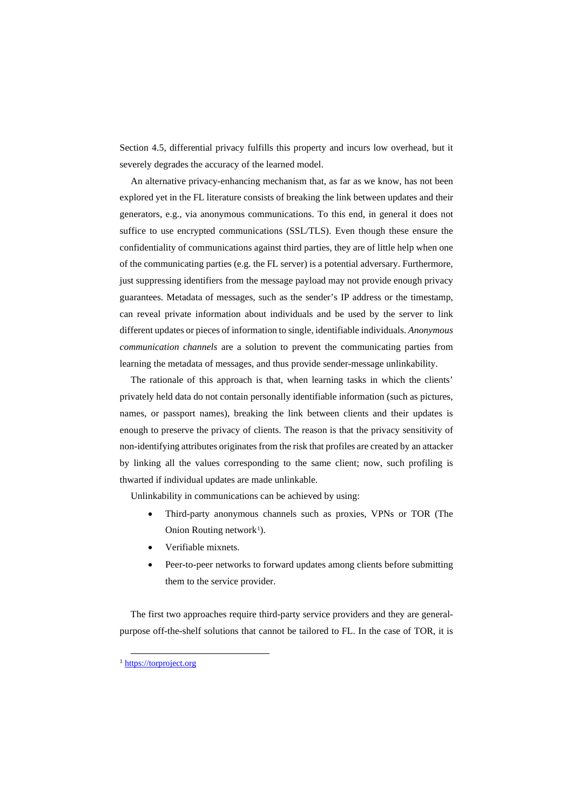Section [4.5,](#page-27-0) differential privacy fulfills this property and incurs low overhead, but it severely degrades the accuracy of the learned model.

An alternative privacy-enhancing mechanism that, as far as we know, has not been explored yet in the FL literature consists of breaking the link between updates and their generators, e.g., via anonymous communications. To this end, in general it does not suffice to use encrypted communications (SSL/TLS). Even though these ensure the confidentiality of communications against third parties, they are of little help when one of the communicating parties (e.g. the FL server) is a potential adversary. Furthermore, just suppressing identifiers from the message payload may not provide enough privacy guarantees. Metadata of messages, such as the sender's IP address or the timestamp, can reveal private information about individuals and be used by the server to link different updates or pieces of information to single, identifiable individuals. *Anonymous communication channels* are a solution to prevent the communicating parties from learning the metadata of messages, and thus provide sender-message unlinkability.

The rationale of this approach is that, when learning tasks in which the clients' privately held data do not contain personally identifiable information (such as pictures, names, or passport names), breaking the link between clients and their updates is enough to preserve the privacy of clients. The reason is that the privacy sensitivity of non-identifying attributes originates from the risk that profiles are created by an attacker by linking all the values corresponding to the same client; now, such profiling is thwarted if individual updates are made unlinkable.

Unlinkability in communications can be achieved by using:

- Third-party anonymous channels such as proxies, VPNs or TOR (The Onion Routing network<sup>[1](#page-32-0)</sup>).
- Verifiable mixnets.
- Peer-to-peer networks to forward updates among clients before submitting them to the service provider.

The first two approaches require third-party service providers and they are generalpurpose off-the-shelf solutions that cannot be tailored to FL. In the case of TOR, it is

<span id="page-32-0"></span><sup>&</sup>lt;sup>1</sup> [https://torproject.org](https://torproject.org/)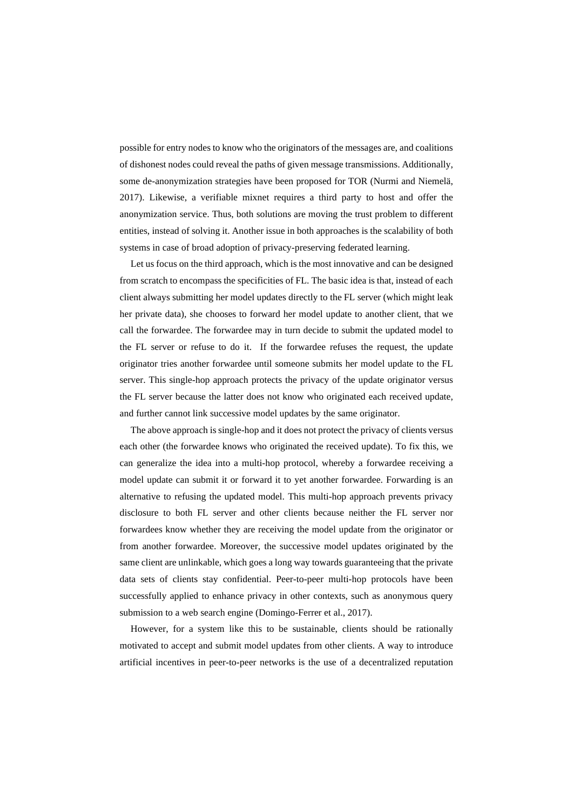possible for entry nodes to know who the originators of the messages are, and coalitions of dishonest nodes could reveal the paths of given message transmissions. Additionally, some de-anonymization strategies have been proposed for TOR (Nurmi and Niemelä, 2017). Likewise, a verifiable mixnet requires a third party to host and offer the anonymization service. Thus, both solutions are moving the trust problem to different entities, instead of solving it. Another issue in both approaches is the scalability of both systems in case of broad adoption of privacy-preserving federated learning.

Let us focus on the third approach, which is the most innovative and can be designed from scratch to encompass the specificities of FL. The basic idea is that, instead of each client always submitting her model updates directly to the FL server (which might leak her private data), she chooses to forward her model update to another client, that we call the forwardee. The forwardee may in turn decide to submit the updated model to the FL server or refuse to do it. If the forwardee refuses the request, the update originator tries another forwardee until someone submits her model update to the FL server. This single-hop approach protects the privacy of the update originator versus the FL server because the latter does not know who originated each received update, and further cannot link successive model updates by the same originator.

The above approach is single-hop and it does not protect the privacy of clients versus each other (the forwardee knows who originated the received update). To fix this, we can generalize the idea into a multi-hop protocol, whereby a forwardee receiving a model update can submit it or forward it to yet another forwardee. Forwarding is an alternative to refusing the updated model. This multi-hop approach prevents privacy disclosure to both FL server and other clients because neither the FL server nor forwardees know whether they are receiving the model update from the originator or from another forwardee. Moreover, the successive model updates originated by the same client are unlinkable, which goes a long way towards guaranteeing that the private data sets of clients stay confidential. Peer-to-peer multi-hop protocols have been successfully applied to enhance privacy in other contexts, such as anonymous query submission to a web search engine (Domingo-Ferrer et al., 2017).

However, for a system like this to be sustainable, clients should be rationally motivated to accept and submit model updates from other clients. A way to introduce artificial incentives in peer-to-peer networks is the use of a decentralized reputation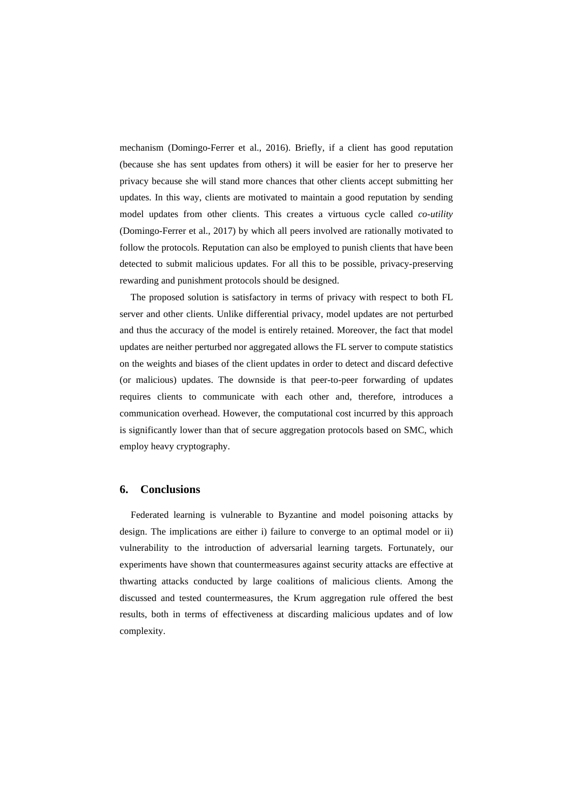mechanism (Domingo-Ferrer et al., 2016). Briefly, if a client has good reputation (because she has sent updates from others) it will be easier for her to preserve her privacy because she will stand more chances that other clients accept submitting her updates. In this way, clients are motivated to maintain a good reputation by sending model updates from other clients. This creates a virtuous cycle called *co-utility* (Domingo-Ferrer et al., 2017) by which all peers involved are rationally motivated to follow the protocols. Reputation can also be employed to punish clients that have been detected to submit malicious updates. For all this to be possible, privacy-preserving rewarding and punishment protocols should be designed.

The proposed solution is satisfactory in terms of privacy with respect to both FL server and other clients. Unlike differential privacy, model updates are not perturbed and thus the accuracy of the model is entirely retained. Moreover, the fact that model updates are neither perturbed nor aggregated allows the FL server to compute statistics on the weights and biases of the client updates in order to detect and discard defective (or malicious) updates. The downside is that peer-to-peer forwarding of updates requires clients to communicate with each other and, therefore, introduces a communication overhead. However, the computational cost incurred by this approach is significantly lower than that of secure aggregation protocols based on SMC, which employ heavy cryptography.

# **6. Conclusions**

Federated learning is vulnerable to Byzantine and model poisoning attacks by design. The implications are either i) failure to converge to an optimal model or ii) vulnerability to the introduction of adversarial learning targets. Fortunately, our experiments have shown that countermeasures against security attacks are effective at thwarting attacks conducted by large coalitions of malicious clients. Among the discussed and tested countermeasures, the Krum aggregation rule offered the best results, both in terms of effectiveness at discarding malicious updates and of low complexity.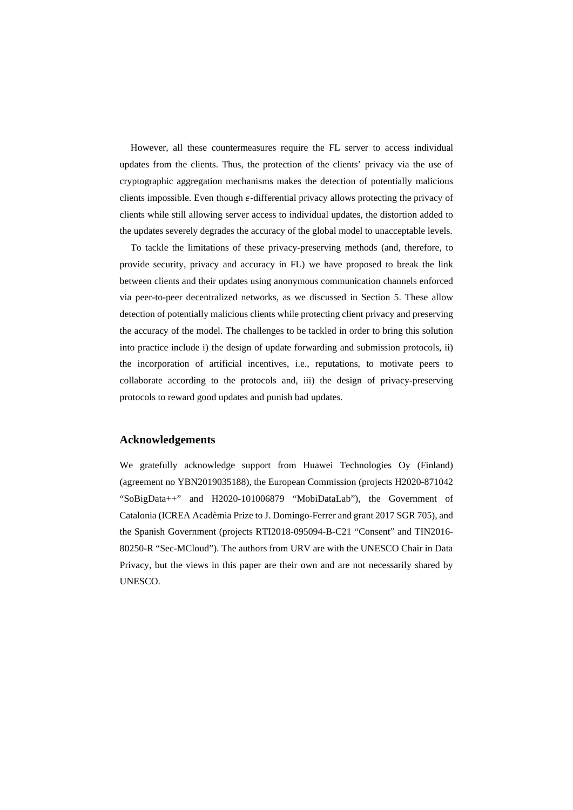However, all these countermeasures require the FL server to access individual updates from the clients. Thus, the protection of the clients' privacy via the use of cryptographic aggregation mechanisms makes the detection of potentially malicious clients impossible. Even though  $\epsilon$ -differential privacy allows protecting the privacy of clients while still allowing server access to individual updates, the distortion added to the updates severely degrades the accuracy of the global model to unacceptable levels.

To tackle the limitations of these privacy-preserving methods (and, therefore, to provide security, privacy and accuracy in FL) we have proposed to break the link between clients and their updates using anonymous communication channels enforced via peer-to-peer decentralized networks, as we discussed in Section 5. These allow detection of potentially malicious clients while protecting client privacy and preserving the accuracy of the model. The challenges to be tackled in order to bring this solution into practice include i) the design of update forwarding and submission protocols, ii) the incorporation of artificial incentives, i.e., reputations, to motivate peers to collaborate according to the protocols and, iii) the design of privacy-preserving protocols to reward good updates and punish bad updates.

### **Acknowledgements**

We gratefully acknowledge support from Huawei Technologies Oy (Finland) (agreement no YBN2019035188), the European Commission (projects H2020-871042 "SoBigData++" and H2020-101006879 "MobiDataLab"), the Government of Catalonia (ICREA Acadèmia Prize to J. Domingo-Ferrer and grant 2017 SGR 705), and the Spanish Government (projects RTI2018-095094-B-C21 "Consent" and TIN2016- 80250-R "Sec-MCloud"). The authors from URV are with the UNESCO Chair in Data Privacy, but the views in this paper are their own and are not necessarily shared by UNESCO.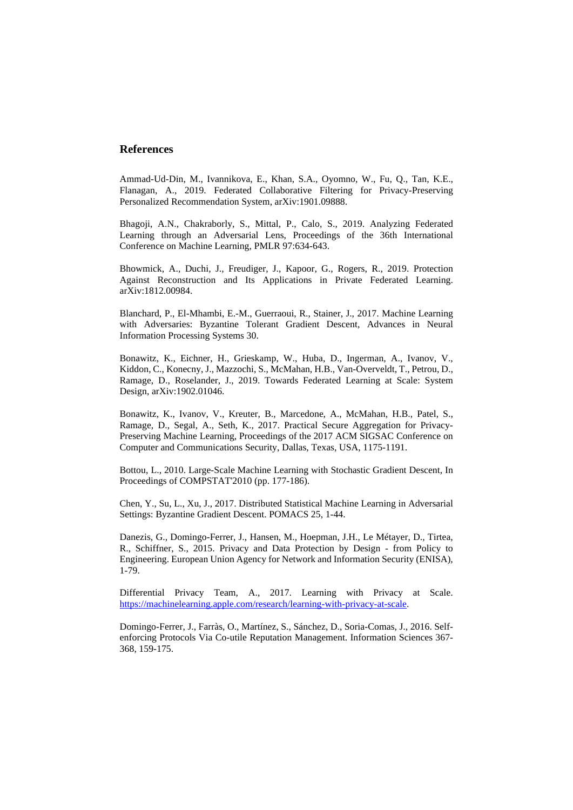# **References**

Ammad-Ud-Din, M., Ivannikova, E., Khan, S.A., Oyomno, W., Fu, Q., Tan, K.E., Flanagan, A., 2019. Federated Collaborative Filtering for Privacy-Preserving Personalized Recommendation System, arXiv:1901.09888.

Bhagoji, A.N., Chakraborly, S., Mittal, P., Calo, S., 2019. Analyzing Federated Learning through an Adversarial Lens, Proceedings of the 36th International Conference on Machine Learning, PMLR 97:634-643.

Bhowmick, A., Duchi, J., Freudiger, J., Kapoor, G., Rogers, R., 2019. Protection Against Reconstruction and Its Applications in Private Federated Learning. arXiv:1812.00984.

Blanchard, P., El-Mhambi, E.-M., Guerraoui, R., Stainer, J., 2017. Machine Learning with Adversaries: Byzantine Tolerant Gradient Descent, Advances in Neural Information Processing Systems 30.

Bonawitz, K., Eichner, H., Grieskamp, W., Huba, D., Ingerman, A., Ivanov, V., Kiddon, C., Konecny, J., Mazzochi, S., McMahan, H.B., Van-Overveldt, T., Petrou, D., Ramage, D., Roselander, J., 2019. Towards Federated Learning at Scale: System Design, arXiv:1902.01046.

Bonawitz, K., Ivanov, V., Kreuter, B., Marcedone, A., McMahan, H.B., Patel, S., Ramage, D., Segal, A., Seth, K., 2017. Practical Secure Aggregation for Privacy-Preserving Machine Learning, Proceedings of the 2017 ACM SIGSAC Conference on Computer and Communications Security, Dallas, Texas, USA, 1175-1191.

Bottou, L., 2010. Large-Scale Machine Learning with Stochastic Gradient Descent, In Proceedings of COMPSTAT'2010 (pp. 177-186).

Chen, Y., Su, L., Xu, J., 2017. Distributed Statistical Machine Learning in Adversarial Settings: Byzantine Gradient Descent. POMACS 25, 1-44.

Danezis, G., Domingo-Ferrer, J., Hansen, M., Hoepman, J.H., Le Métayer, D., Tirtea, R., Schiffner, S., 2015. Privacy and Data Protection by Design - from Policy to Engineering. European Union Agency for Network and Information Security (ENISA), 1-79.

Differential Privacy Team, A., 2017. Learning with Privacy at Scale. [https://machinelearning.apple.com/research/learning-with-privacy-at-scale.](https://machinelearning.apple.com/research/learning-with-privacy-at-scale)

Domingo-Ferrer, J., Farràs, O., Martínez, S., Sánchez, D., Soria-Comas, J., 2016. Selfenforcing Protocols Via Co-utile Reputation Management. Information Sciences 367- 368, 159-175.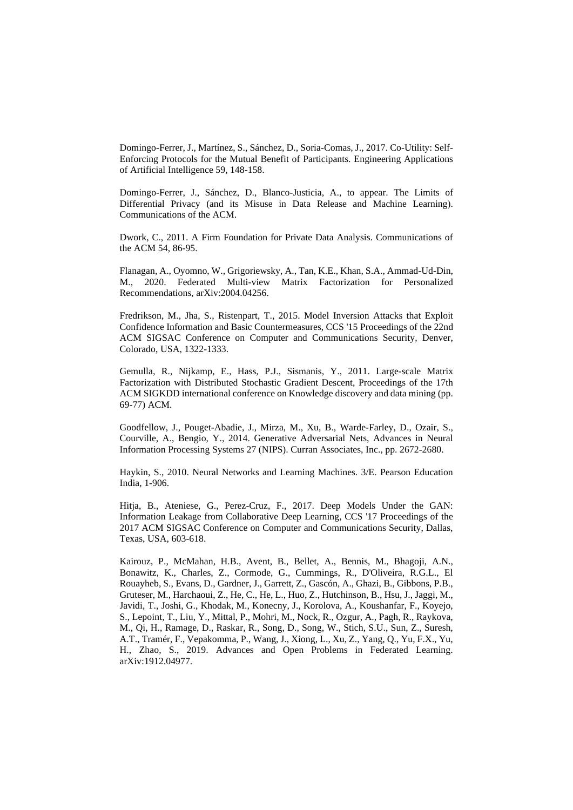Domingo-Ferrer, J., Martínez, S., Sánchez, D., Soria-Comas, J., 2017. Co-Utility: Self-Enforcing Protocols for the Mutual Benefit of Participants. Engineering Applications of Artificial Intelligence 59, 148-158.

Domingo-Ferrer, J., Sánchez, D., Blanco-Justicia, A., to appear. The Limits of Differential Privacy (and its Misuse in Data Release and Machine Learning). Communications of the ACM.

Dwork, C., 2011. A Firm Foundation for Private Data Analysis. Communications of the ACM 54, 86-95.

Flanagan, A., Oyomno, W., Grigoriewsky, A., Tan, K.E., Khan, S.A., Ammad-Ud-Din, M., 2020. Federated Multi-view Matrix Factorization for Personalized Recommendations, arXiv:2004.04256.

Fredrikson, M., Jha, S., Ristenpart, T., 2015. Model Inversion Attacks that Exploit Confidence Information and Basic Countermeasures, CCS '15 Proceedings of the 22nd ACM SIGSAC Conference on Computer and Communications Security, Denver, Colorado, USA, 1322-1333.

Gemulla, R., Nijkamp, E., Hass, P.J., Sismanis, Y., 2011. Large-scale Matrix Factorization with Distributed Stochastic Gradient Descent, Proceedings of the 17th ACM SIGKDD international conference on Knowledge discovery and data mining (pp. 69-77) ACM.

Goodfellow, J., Pouget-Abadie, J., Mirza, M., Xu, B., Warde-Farley, D., Ozair, S., Courville, A., Bengio, Y., 2014. Generative Adversarial Nets, Advances in Neural Information Processing Systems 27 (NIPS). Curran Associates, Inc., pp. 2672-2680.

Haykin, S., 2010. Neural Networks and Learning Machines. 3/E. Pearson Education India, 1-906.

Hitja, B., Ateniese, G., Perez-Cruz, F., 2017. Deep Models Under the GAN: Information Leakage from Collaborative Deep Learning, CCS '17 Proceedings of the 2017 ACM SIGSAC Conference on Computer and Communications Security, Dallas, Texas, USA, 603-618.

Kairouz, P., McMahan, H.B., Avent, B., Bellet, A., Bennis, M., Bhagoji, A.N., Bonawitz, K., Charles, Z., Cormode, G., Cummings, R., D'Oliveira, R.G.L., El Rouayheb, S., Evans, D., Gardner, J., Garrett, Z., Gascón, A., Ghazi, B., Gibbons, P.B., Gruteser, M., Harchaoui, Z., He, C., He, L., Huo, Z., Hutchinson, B., Hsu, J., Jaggi, M., Javidi, T., Joshi, G., Khodak, M., Konecny, J., Korolova, A., Koushanfar, F., Koyejo, S., Lepoint, T., Liu, Y., Mittal, P., Mohri, M., Nock, R., Ozgur, A., Pagh, R., Raykova, M., Qi, H., Ramage, D., Raskar, R., Song, D., Song, W., Stich, S.U., Sun, Z., Suresh, A.T., Tramér, F., Vepakomma, P., Wang, J., Xiong, L., Xu, Z., Yang, Q., Yu, F.X., Yu, H., Zhao, S., 2019. Advances and Open Problems in Federated Learning. arXiv:1912.04977.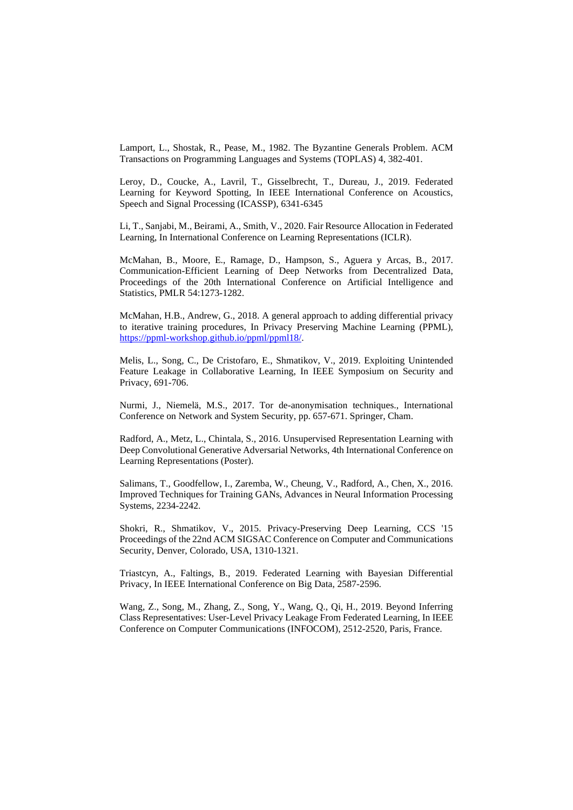Lamport, L., Shostak, R., Pease, M., 1982. The Byzantine Generals Problem. ACM Transactions on Programming Languages and Systems (TOPLAS) 4, 382-401.

Leroy, D., Coucke, A., Lavril, T., Gisselbrecht, T., Dureau, J., 2019. Federated Learning for Keyword Spotting, In IEEE International Conference on Acoustics, Speech and Signal Processing (ICASSP), 6341-6345

Li, T., Sanjabi, M., Beirami, A., Smith, V., 2020. Fair Resource Allocation in Federated Learning, In International Conference on Learning Representations (ICLR).

McMahan, B., Moore, E., Ramage, D., Hampson, S., Aguera y Arcas, B., 2017. Communication-Efficient Learning of Deep Networks from Decentralized Data, Proceedings of the 20th International Conference on Artificial Intelligence and Statistics, PMLR 54:1273-1282.

McMahan, H.B., Andrew, G., 2018. A general approach to adding differential privacy to iterative training procedures, In Privacy Preserving Machine Learning (PPML), [https://ppml-workshop.github.io/ppml/ppml18/.](https://ppml-workshop.github.io/ppml/ppml18/)

Melis, L., Song, C., De Cristofaro, E., Shmatikov, V., 2019. Exploiting Unintended Feature Leakage in Collaborative Learning, In IEEE Symposium on Security and Privacy, 691-706.

Nurmi, J., Niemelä, M.S., 2017. Tor de-anonymisation techniques., International Conference on Network and System Security, pp. 657-671. Springer, Cham.

Radford, A., Metz, L., Chintala, S., 2016. Unsupervised Representation Learning with Deep Convolutional Generative Adversarial Networks, 4th International Conference on Learning Representations (Poster).

Salimans, T., Goodfellow, I., Zaremba, W., Cheung, V., Radford, A., Chen, X., 2016. Improved Techniques for Training GANs, Advances in Neural Information Processing Systems, 2234-2242.

Shokri, R., Shmatikov, V., 2015. Privacy-Preserving Deep Learning, CCS '15 Proceedings of the 22nd ACM SIGSAC Conference on Computer and Communications Security, Denver, Colorado, USA, 1310-1321.

Triastcyn, A., Faltings, B., 2019. Federated Learning with Bayesian Differential Privacy, In IEEE International Conference on Big Data, 2587-2596.

Wang, Z., Song, M., Zhang, Z., Song, Y., Wang, Q., Qi, H., 2019. Beyond Inferring Class Representatives: User-Level Privacy Leakage From Federated Learning, In IEEE Conference on Computer Communications (INFOCOM), 2512-2520, Paris, France.